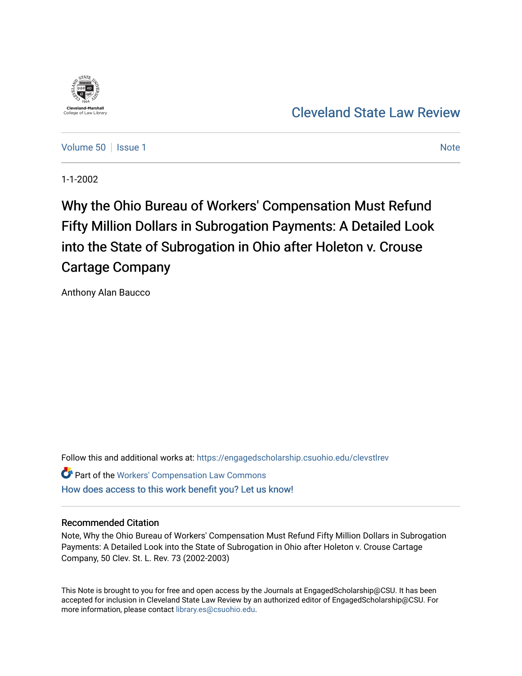

# [Cleveland State Law Review](https://engagedscholarship.csuohio.edu/clevstlrev)

[Volume 50](https://engagedscholarship.csuohio.edu/clevstlrev/vol50) | [Issue 1](https://engagedscholarship.csuohio.edu/clevstlrev/vol50/iss1) [Note](https://engagedscholarship.csuohio.edu/clevstlrev/vol50/iss1/6) 1 Note 1 Note 1 Note 1 Note 1 Note 1 Note 1 Note 1 Note 1 Note 1 Note 1 Note 1 Note 1 Note 1 Note 1 Note 1 Note 1 Note 1 Note 1 Note 1 Note 1 Note 1 Note 1 Note 1 Note 1 Note 1 Note 1 Note 1 Note 1

1-1-2002

Why the Ohio Bureau of Workers' Compensation Must Refund Fifty Million Dollars in Subrogation Payments: A Detailed Look into the State of Subrogation in Ohio after Holeton v. Crouse Cartage Company

Anthony Alan Baucco

Follow this and additional works at: [https://engagedscholarship.csuohio.edu/clevstlrev](https://engagedscholarship.csuohio.edu/clevstlrev?utm_source=engagedscholarship.csuohio.edu%2Fclevstlrev%2Fvol50%2Fiss1%2F6&utm_medium=PDF&utm_campaign=PDFCoverPages)

Part of the [Workers' Compensation Law Commons](http://network.bepress.com/hgg/discipline/889?utm_source=engagedscholarship.csuohio.edu%2Fclevstlrev%2Fvol50%2Fiss1%2F6&utm_medium=PDF&utm_campaign=PDFCoverPages) [How does access to this work benefit you? Let us know!](http://library.csuohio.edu/engaged/)

# Recommended Citation

Note, Why the Ohio Bureau of Workers' Compensation Must Refund Fifty Million Dollars in Subrogation Payments: A Detailed Look into the State of Subrogation in Ohio after Holeton v. Crouse Cartage Company, 50 Clev. St. L. Rev. 73 (2002-2003)

This Note is brought to you for free and open access by the Journals at EngagedScholarship@CSU. It has been accepted for inclusion in Cleveland State Law Review by an authorized editor of EngagedScholarship@CSU. For more information, please contact [library.es@csuohio.edu](mailto:library.es@csuohio.edu).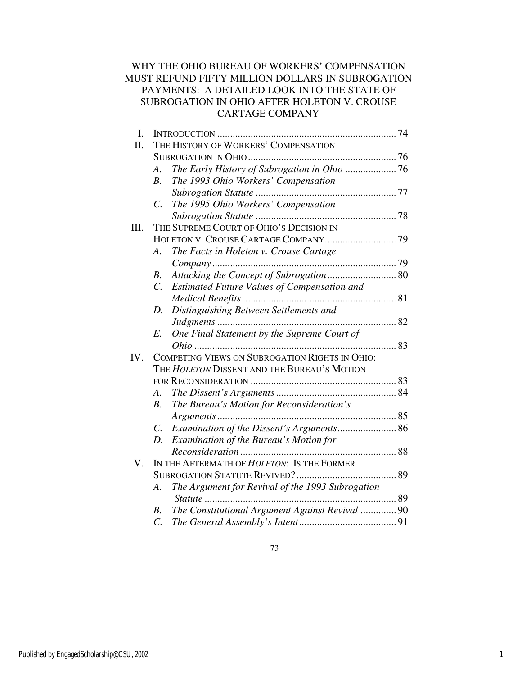# WHY THE OHIO BUREAU OF WORKERS' COMPENSATION MUST REFUND FIFTY MILLION DOLLARS IN SUBROGATION PAYMENTS: A DETAILED LOOK INTO THE STATE OF SUBROGATION IN OHIO AFTER HOLETON V. CROUSE CARTAGE COMPANY

| I.   |                                                                           |    |  |
|------|---------------------------------------------------------------------------|----|--|
| Π.   | THE HISTORY OF WORKERS' COMPENSATION                                      |    |  |
|      |                                                                           |    |  |
|      | A.                                                                        |    |  |
|      | The 1993 Ohio Workers' Compensation<br>B <sub>1</sub>                     |    |  |
|      |                                                                           |    |  |
|      | The 1995 Ohio Workers' Compensation<br>$\mathcal{C}$ .                    |    |  |
|      |                                                                           |    |  |
| III. | THE SUPREME COURT OF OHIO'S DECISION IN                                   |    |  |
|      |                                                                           |    |  |
|      | А.<br>The Facts in Holeton v. Crouse Cartage                              |    |  |
|      |                                                                           |    |  |
|      | Attacking the Concept of Subrogation 80<br>В.                             |    |  |
|      | $\overline{C}$ .<br>Estimated Future Values of Compensation and           |    |  |
|      |                                                                           |    |  |
|      | Distinguishing Between Settlements and<br>D.                              |    |  |
|      |                                                                           |    |  |
|      | One Final Statement by the Supreme Court of<br>E.                         |    |  |
|      |                                                                           | 83 |  |
| IV.  | COMPETING VIEWS ON SUBROGATION RIGHTS IN OHIO:                            |    |  |
|      |                                                                           |    |  |
|      | THE HOLETON DISSENT AND THE BUREAU'S MOTION                               |    |  |
|      |                                                                           |    |  |
|      | А.                                                                        |    |  |
|      | The Bureau's Motion for Reconsideration's<br>$B_{\cdot}$                  |    |  |
|      |                                                                           |    |  |
|      | $C_{\cdot}$                                                               |    |  |
|      | Examination of the Bureau's Motion for<br>D.                              |    |  |
|      |                                                                           |    |  |
| V.   | IN THE AFTERMATH OF HOLETON: IS THE FORMER                                |    |  |
|      |                                                                           |    |  |
|      | The Argument for Revival of the 1993 Subrogation<br>A.                    |    |  |
|      |                                                                           |    |  |
|      | The Constitutional Argument Against Revival  90<br>В.<br>$\overline{C}$ . |    |  |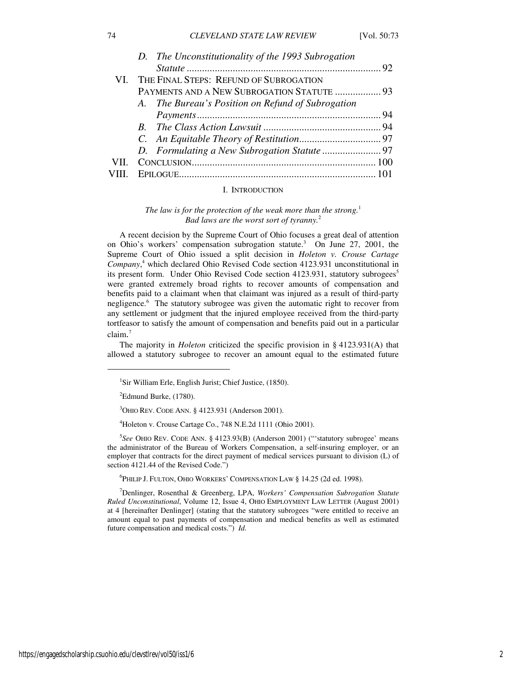|  | D. The Unconstitutionality of the 1993 Subrogation<br>VI. THE FINAL STEPS: REFUND OF SUBROGATION<br>PAYMENTS AND A NEW SUBROGATION STATUTE  93<br>A. The Bureau's Position on Refund of Subrogation |
|--|-----------------------------------------------------------------------------------------------------------------------------------------------------------------------------------------------------|

#### I. INTRODUCTION

*The law is for the protection of the weak more than the strong.*<sup>1</sup> *Bad laws are the worst sort of tyranny.*<sup>2</sup>

A recent decision by the Supreme Court of Ohio focuses a great deal of attention on Ohio's workers' compensation subrogation statute.<sup>3</sup> On June 27, 2001, the Supreme Court of Ohio issued a split decision in *Holeton v. Crouse Cartage Company*, 4 which declared Ohio Revised Code section 4123.931 unconstitutional in its present form. Under Ohio Revised Code section 4123.931, statutory subrogees<sup>5</sup> were granted extremely broad rights to recover amounts of compensation and benefits paid to a claimant when that claimant was injured as a result of third-party negligence.<sup>6</sup> The statutory subrogee was given the automatic right to recover from any settlement or judgment that the injured employee received from the third-party tortfeasor to satisfy the amount of compensation and benefits paid out in a particular claim. 7

The majority in *Holeton* criticized the specific provision in § 4123.931(A) that allowed a statutory subrogee to recover an amount equal to the estimated future

 ${}^{2}$ Edmund Burke, (1780).

j

 $3$ OHIO REV. CODE ANN. § 4123.931 (Anderson 2001).

<sup>4</sup>Holeton v. Crouse Cartage Co., 748 N.E.2d 1111 (Ohio 2001).

5 *See* OHIO REV. CODE ANN. § 4123.93(B) (Anderson 2001) ("'statutory subrogee' means the administrator of the Bureau of Workers Compensation, a self-insuring employer, or an employer that contracts for the direct payment of medical services pursuant to division (L) of section 4121.44 of the Revised Code.")

6 PHILIP J. FULTON, OHIO WORKERS' COMPENSATION LAW § 14.25 (2d ed. 1998).

<sup>7</sup>Denlinger, Rosenthal & Greenberg, LPA, *Workers' Compensation Subrogation Statute Ruled Unconstitutional*, Volume 12, Issue 4, OHIO EMPLOYMENT LAW LETTER (August 2001) at 4 [hereinafter Denlinger] (stating that the statutory subrogees "were entitled to receive an amount equal to past payments of compensation and medical benefits as well as estimated future compensation and medical costs.") *Id.*

<sup>&</sup>lt;sup>1</sup>Sir William Erle, English Jurist; Chief Justice, (1850).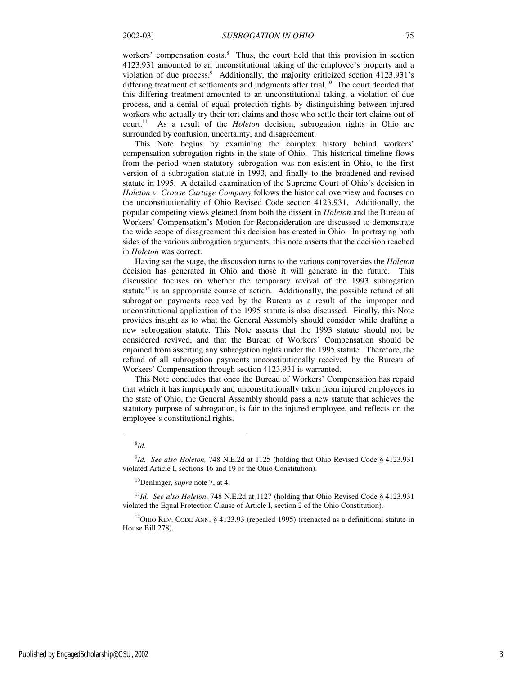workers' compensation costs.<sup>8</sup> Thus, the court held that this provision in section 4123.931 amounted to an unconstitutional taking of the employee's property and a violation of due process.<sup>9</sup> Additionally, the majority criticized section 4123.931's differing treatment of settlements and judgments after trial.<sup>10</sup> The court decided that this differing treatment amounted to an unconstitutional taking, a violation of due process, and a denial of equal protection rights by distinguishing between injured workers who actually try their tort claims and those who settle their tort claims out of court.<sup>11</sup> As a result of the *Holeton* decision, subrogation rights in Ohio are surrounded by confusion, uncertainty, and disagreement.

This Note begins by examining the complex history behind workers' compensation subrogation rights in the state of Ohio. This historical timeline flows from the period when statutory subrogation was non-existent in Ohio, to the first version of a subrogation statute in 1993, and finally to the broadened and revised statute in 1995. A detailed examination of the Supreme Court of Ohio's decision in *Holeton v. Crouse Cartage Company* follows the historical overview and focuses on the unconstitutionality of Ohio Revised Code section 4123.931. Additionally, the popular competing views gleaned from both the dissent in *Holeton* and the Bureau of Workers' Compensation's Motion for Reconsideration are discussed to demonstrate the wide scope of disagreement this decision has created in Ohio. In portraying both sides of the various subrogation arguments, this note asserts that the decision reached in *Holeton* was correct.

Having set the stage, the discussion turns to the various controversies the *Holeton* decision has generated in Ohio and those it will generate in the future. This discussion focuses on whether the temporary revival of the 1993 subrogation statute<sup>12</sup> is an appropriate course of action. Additionally, the possible refund of all subrogation payments received by the Bureau as a result of the improper and unconstitutional application of the 1995 statute is also discussed. Finally, this Note provides insight as to what the General Assembly should consider while drafting a new subrogation statute. This Note asserts that the 1993 statute should not be considered revived, and that the Bureau of Workers' Compensation should be enjoined from asserting any subrogation rights under the 1995 statute. Therefore, the refund of all subrogation payments unconstitutionally received by the Bureau of Workers' Compensation through section 4123.931 is warranted.

This Note concludes that once the Bureau of Workers' Compensation has repaid that which it has improperly and unconstitutionally taken from injured employees in the state of Ohio, the General Assembly should pass a new statute that achieves the statutory purpose of subrogation, is fair to the injured employee, and reflects on the employee's constitutional rights.

#### 8 *Id.*

 $\overline{a}$ 

<sup>10</sup>Denlinger, *supra* note 7, at 4.

<sup>11</sup>*Id. See also Holeton*, 748 N.E.2d at 1127 (holding that Ohio Revised Code § 4123.931 violated the Equal Protection Clause of Article I, section 2 of the Ohio Constitution).

<sup>12</sup>OHIO REV. CODE ANN. § 4123.93 (repealed 1995) (reenacted as a definitional statute in House Bill 278).

<sup>9</sup> *Id. See also Holeton,* 748 N.E.2d at 1125 (holding that Ohio Revised Code § 4123.931 violated Article I, sections 16 and 19 of the Ohio Constitution).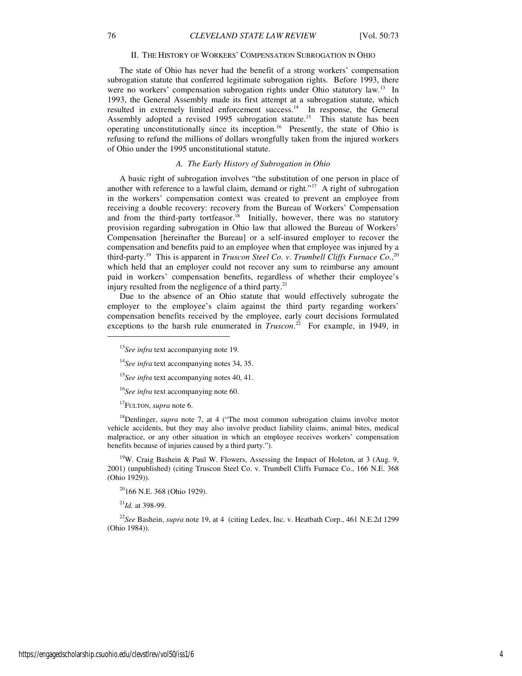#### II. THE HISTORY OF WORKERS' COMPENSATION SUBROGATION IN OHIO

The state of Ohio has never had the benefit of a strong workers' compensation subrogation statute that conferred legitimate subrogation rights. Before 1993, there were no workers' compensation subrogation rights under Ohio statutory law.<sup>13</sup> In 1993, the General Assembly made its first attempt at a subrogation statute, which resulted in extremely limited enforcement success.<sup>14</sup> In response, the General Assembly adopted a revised 1995 subrogation statute.<sup>15</sup> This statute has been operating unconstitutionally since its inception.<sup>16</sup> Presently, the state of Ohio is refusing to refund the millions of dollars wrongfully taken from the injured workers of Ohio under the 1995 unconstitutional statute.

#### *A. The Early History of Subrogation in Ohio*

A basic right of subrogation involves "the substitution of one person in place of another with reference to a lawful claim, demand or right."<sup>17</sup> A right of subrogation in the workers' compensation context was created to prevent an employee from receiving a double recovery: recovery from the Bureau of Workers' Compensation and from the third-party tortfeasor.<sup>18</sup> Initially, however, there was no statutory provision regarding subrogation in Ohio law that allowed the Bureau of Workers' Compensation [hereinafter the Bureau] or a self-insured employer to recover the compensation and benefits paid to an employee when that employee was injured by a third-party.<sup>19</sup> This is apparent in *Truscon Steel Co. v. Trumbell Cliffs Furnace Co.*, 20 which held that an employer could not recover any sum to reimburse any amount paid in workers' compensation benefits, regardless of whether their employee's injury resulted from the negligence of a third party. $21$ 

Due to the absence of an Ohio statute that would effectively subrogate the employer to the employee's claim against the third party regarding workers' compensation benefits received by the employee, early court decisions formulated exceptions to the harsh rule enumerated in *Truscon*.<sup>22</sup> For example, in 1949, in

<sup>16</sup>*See infra* text accompanying note 60.

<sup>17</sup>FULTON, *supra* note 6.

<sup>18</sup>Denlinger, *supra* note 7, at 4 ("The most common subrogation claims involve motor vehicle accidents, but they may also involve product liability claims, animal bites, medical malpractice, or any other situation in which an employee receives workers' compensation benefits because of injuries caused by a third party.").

<sup>19</sup>W. Craig Bashein & Paul W. Flowers, Assessing the Impact of Holeton, at 3 (Aug. 9, 2001) (unpublished) (citing Truscon Steel Co. v. Trumbell Cliffs Furnace Co., 166 N.E. 368 (Ohio 1929)).

<sup>20</sup>166 N.E. 368 (Ohio 1929).

 $^{21}$ *Id.* at 398-99.

<sup>22</sup>*See* Bashein, *supra* note 19, at 4 (citing Ledex, Inc. v. Heatbath Corp., 461 N.E.2d 1299 (Ohio 1984)).

1

<sup>13</sup>*See infra* text accompanying note 19.

<sup>&</sup>lt;sup>14</sup>See infra text accompanying notes 34, 35.

<sup>15</sup>*See infra* text accompanying notes 40, 41.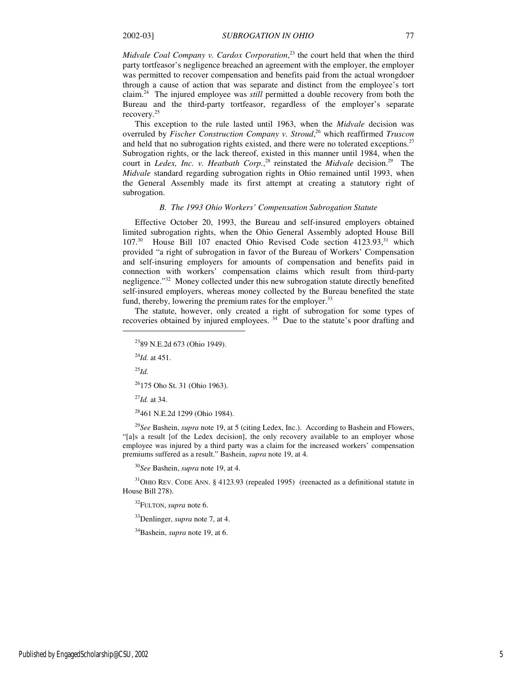*Midvale Coal Company v. Cardox Corporation*, <sup>23</sup> the court held that when the third party tortfeasor's negligence breached an agreement with the employer, the employer was permitted to recover compensation and benefits paid from the actual wrongdoer through a cause of action that was separate and distinct from the employee's tort claim.<sup>24</sup> The injured employee was *still* permitted a double recovery from both the Bureau and the third-party tortfeasor, regardless of the employer's separate recovery.<sup>25</sup>

This exception to the rule lasted until 1963, when the *Midvale* decision was overruled by *Fischer Construction Company v. Stroud*, <sup>26</sup> which reaffirmed *Truscon*  and held that no subrogation rights existed, and there were no tolerated exceptions. $27$ Subrogation rights, or the lack thereof, existed in this manner until 1984, when the court in *Ledex, Inc. v. Heatbath Corp.*<sup>28</sup> reinstated the *Midvale* decision.<sup>29</sup> The *Midvale* standard regarding subrogation rights in Ohio remained until 1993, when the General Assembly made its first attempt at creating a statutory right of subrogation.

#### *B. The 1993 Ohio Workers' Compensation Subrogation Statute*

Effective October 20, 1993, the Bureau and self-insured employers obtained limited subrogation rights, when the Ohio General Assembly adopted House Bill 107.<sup>30</sup> House Bill 107 enacted Ohio Revised Code section 4123.93,<sup>31</sup> which provided "a right of subrogation in favor of the Bureau of Workers' Compensation and self-insuring employers for amounts of compensation and benefits paid in connection with workers' compensation claims which result from third-party negligence."<sup>32</sup> Money collected under this new subrogation statute directly benefited self-insured employers, whereas money collected by the Bureau benefited the state fund, thereby, lowering the premium rates for the employer.<sup>33</sup>

The statute, however, only created a right of subrogation for some types of recoveries obtained by injured employees.<sup>34</sup> Due to the statute's poor drafting and

<sup>24</sup>*Id.* at 451.

<sup>25</sup>*Id.*

 $\overline{a}$ 

<sup>26</sup>175 Oho St. 31 (Ohio 1963).

<sup>27</sup>*Id.* at 34.

<sup>28</sup>461 N.E.2d 1299 (Ohio 1984).

<sup>29</sup>*See* Bashein, *supra* note 19, at 5 (citing Ledex, Inc.). According to Bashein and Flowers, "[a]s a result [of the Ledex decision], the only recovery available to an employer whose employee was injured by a third party was a claim for the increased workers' compensation premiums suffered as a result." Bashein, *supra* note 19, at 4.

<sup>30</sup>*See* Bashein, *supra* note 19, at 4.

 $31$ OHIO REV. CODE ANN. § 4123.93 (repealed 1995) (reenacted as a definitional statute in House Bill 278).

<sup>32</sup>FULTON, *supra* note 6.

<sup>33</sup>Denlinger, *supra* note 7, at 4.

<sup>34</sup>Bashein, *supra* note 19, at 6.

<sup>23</sup>89 N.E.2d 673 (Ohio 1949).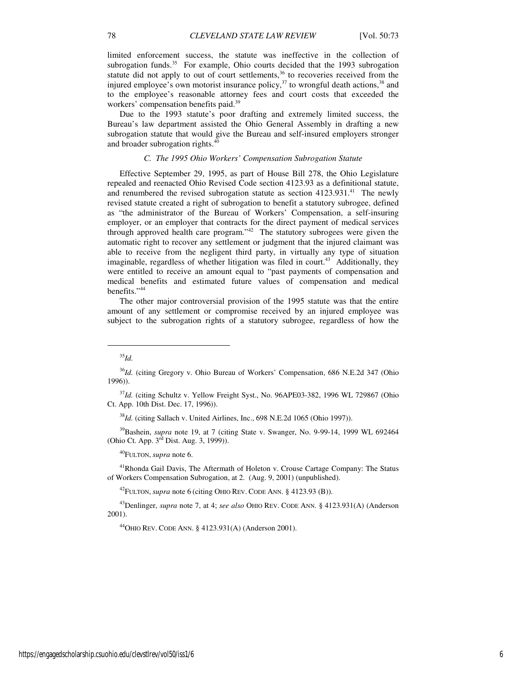limited enforcement success, the statute was ineffective in the collection of subrogation funds. $35$  For example, Ohio courts decided that the 1993 subrogation statute did not apply to out of court settlements, $36$  to recoveries received from the injured employee's own motorist insurance policy, $37$  to wrongful death actions,  $38$  and to the employee's reasonable attorney fees and court costs that exceeded the workers' compensation benefits paid.<sup>39</sup>

Due to the 1993 statute's poor drafting and extremely limited success, the Bureau's law department assisted the Ohio General Assembly in drafting a new subrogation statute that would give the Bureau and self-insured employers stronger and broader subrogation rights.<sup>40</sup>

### *C. The 1995 Ohio Workers' Compensation Subrogation Statute*

Effective September 29, 1995, as part of House Bill 278, the Ohio Legislature repealed and reenacted Ohio Revised Code section 4123.93 as a definitional statute, and renumbered the revised subrogation statute as section  $4123.931$ .<sup>41</sup> The newly revised statute created a right of subrogation to benefit a statutory subrogee, defined as "the administrator of the Bureau of Workers' Compensation, a self-insuring employer, or an employer that contracts for the direct payment of medical services through approved health care program." $42$  The statutory subrogees were given the automatic right to recover any settlement or judgment that the injured claimant was able to receive from the negligent third party, in virtually any type of situation imaginable, regardless of whether litigation was filed in court.<sup>43</sup> Additionally, they were entitled to receive an amount equal to "past payments of compensation and medical benefits and estimated future values of compensation and medical benefits."<sup>44</sup>

The other major controversial provision of the 1995 statute was that the entire amount of any settlement or compromise received by an injured employee was subject to the subrogation rights of a statutory subrogee, regardless of how the

1

<sup>38</sup>*Id.* (citing Sallach v. United Airlines, Inc., 698 N.E.2d 1065 (Ohio 1997)).

<sup>39</sup>Bashein, *supra* note 19, at 7 (citing State v. Swanger, No. 9-99-14, 1999 WL 692464 (Ohio Ct. App. 3rd Dist. Aug. 3, 1999)).

<sup>40</sup>FULTON, *supra* note 6.

<sup>41</sup>Rhonda Gail Davis, The Aftermath of Holeton v. Crouse Cartage Company: The Status of Workers Compensation Subrogation, at 2. (Aug. 9, 2001) (unpublished).

<sup>42</sup>FULTON, *supra* note 6 (citing OHIO REV. CODE ANN. § 4123.93 (B)).

<sup>43</sup>Denlinger, *supra* note 7, at 4; *see also* OHIO REV. CODE ANN. § 4123.931(A) (Anderson 2001).

<sup>44</sup>OHIO REV. CODE ANN. § 4123.931(A) (Anderson 2001).

<sup>35</sup>*Id.*

<sup>36</sup>*Id.* (citing Gregory v. Ohio Bureau of Workers' Compensation, 686 N.E.2d 347 (Ohio 1996)).

<sup>37</sup>*Id.* (citing Schultz v. Yellow Freight Syst., No. 96APE03-382, 1996 WL 729867 (Ohio Ct. App. 10th Dist. Dec. 17, 1996)).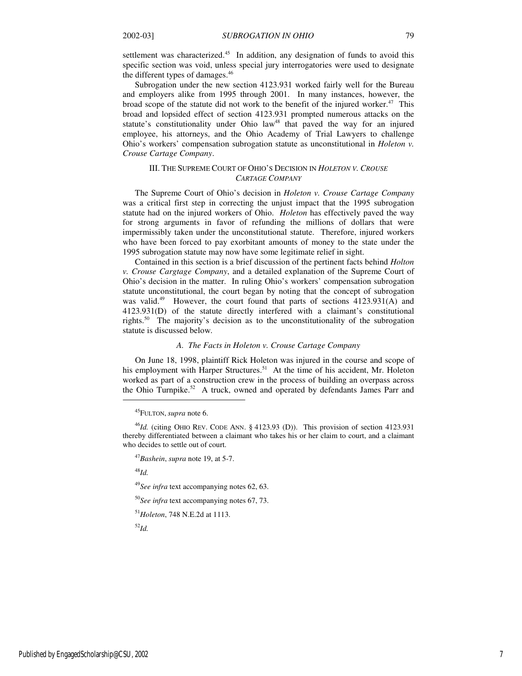settlement was characterized.<sup>45</sup> In addition, any designation of funds to avoid this specific section was void, unless special jury interrogatories were used to designate the different types of damages.<sup>46</sup>

Subrogation under the new section 4123.931 worked fairly well for the Bureau and employers alike from 1995 through 2001. In many instances, however, the broad scope of the statute did not work to the benefit of the injured worker.<sup>47</sup> This broad and lopsided effect of section 4123.931 prompted numerous attacks on the statute's constitutionality under Ohio law<sup>48</sup> that paved the way for an injured employee, his attorneys, and the Ohio Academy of Trial Lawyers to challenge Ohio's workers' compensation subrogation statute as unconstitutional in *Holeton v. Crouse Cartage Company*.

# III. THE SUPREME COURT OF OHIO'S DECISION IN *HOLETON V. CROUSE CARTAGE COMPANY*

The Supreme Court of Ohio's decision in *Holeton v. Crouse Cartage Company*  was a critical first step in correcting the unjust impact that the 1995 subrogation statute had on the injured workers of Ohio. *Holeton* has effectively paved the way for strong arguments in favor of refunding the millions of dollars that were impermissibly taken under the unconstitutional statute. Therefore, injured workers who have been forced to pay exorbitant amounts of money to the state under the 1995 subrogation statute may now have some legitimate relief in sight.

Contained in this section is a brief discussion of the pertinent facts behind *Holton v. Crouse Cargtage Company*, and a detailed explanation of the Supreme Court of Ohio's decision in the matter. In ruling Ohio's workers' compensation subrogation statute unconstitutional, the court began by noting that the concept of subrogation was valid.<sup>49</sup> However, the court found that parts of sections  $4123.931(A)$  and 4123.931(D) of the statute directly interfered with a claimant's constitutional rights.<sup>50</sup> The majority's decision as to the unconstitutionality of the subrogation statute is discussed below.

#### *A. The Facts in Holeton v. Crouse Cartage Company*

On June 18, 1998, plaintiff Rick Holeton was injured in the course and scope of his employment with Harper Structures.<sup>51</sup> At the time of his accident, Mr. Holeton worked as part of a construction crew in the process of building an overpass across the Ohio Turnpike.<sup>52</sup> A truck, owned and operated by defendants James Parr and

<sup>48</sup>*Id.* 

 $\overline{a}$ 

<sup>49</sup>*See infra* text accompanying notes 62, 63.

<sup>50</sup>*See infra* text accompanying notes 67, 73.

<sup>51</sup>*Holeton*, 748 N.E.2d at 1113.

<sup>52</sup>*Id.*

<sup>45</sup>FULTON, *supra* note 6.

<sup>46</sup>*Id.* (citing OHIO REV. CODE ANN. § 4123.93 (D)). This provision of section 4123.931 thereby differentiated between a claimant who takes his or her claim to court, and a claimant who decides to settle out of court.

<sup>47</sup>*Bashein*, *supra* note 19, at 5-7.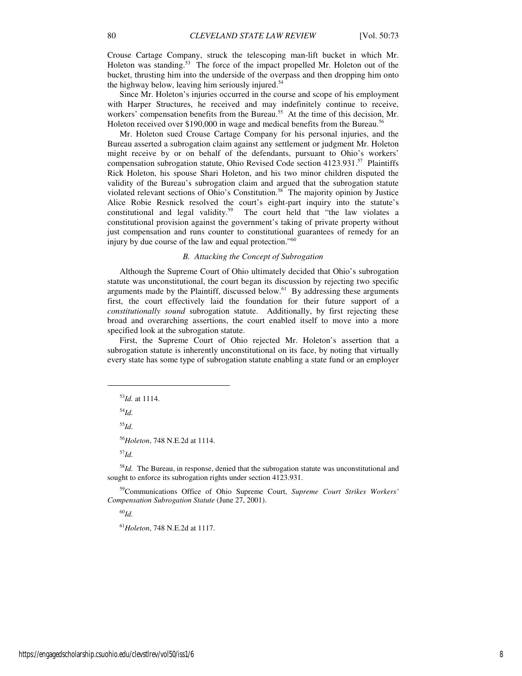Crouse Cartage Company, struck the telescoping man-lift bucket in which Mr. Holeton was standing.<sup>53</sup> The force of the impact propelled Mr. Holeton out of the bucket, thrusting him into the underside of the overpass and then dropping him onto the highway below, leaving him seriously injured.<sup>54</sup>

Since Mr. Holeton's injuries occurred in the course and scope of his employment with Harper Structures, he received and may indefinitely continue to receive, workers' compensation benefits from the Bureau.<sup>55</sup> At the time of this decision, Mr. Holeton received over \$190,000 in wage and medical benefits from the Bureau.<sup>56</sup>

Mr. Holeton sued Crouse Cartage Company for his personal injuries, and the Bureau asserted a subrogation claim against any settlement or judgment Mr. Holeton might receive by or on behalf of the defendants, pursuant to Ohio's workers' compensation subrogation statute, Ohio Revised Code section 4123.931.<sup>57</sup> Plaintiffs Rick Holeton, his spouse Shari Holeton, and his two minor children disputed the validity of the Bureau's subrogation claim and argued that the subrogation statute violated relevant sections of Ohio's Constitution.<sup>58</sup> The majority opinion by Justice Alice Robie Resnick resolved the court's eight-part inquiry into the statute's constitutional and legal validity.<sup>59</sup> The court held that "the law violates a The court held that "the law violates a constitutional provision against the government's taking of private property without just compensation and runs counter to constitutional guarantees of remedy for an injury by due course of the law and equal protection."<sup>60</sup>

#### *B. Attacking the Concept of Subrogation*

Although the Supreme Court of Ohio ultimately decided that Ohio's subrogation statute was unconstitutional, the court began its discussion by rejecting two specific arguments made by the Plaintiff, discussed below. $61$  By addressing these arguments first, the court effectively laid the foundation for their future support of a *constitutionally sound* subrogation statute. Additionally, by first rejecting these broad and overarching assertions, the court enabled itself to move into a more specified look at the subrogation statute.

First, the Supreme Court of Ohio rejected Mr. Holeton's assertion that a subrogation statute is inherently unconstitutional on its face, by noting that virtually every state has some type of subrogation statute enabling a state fund or an employer

<sup>54</sup>*Id.*

j

<sup>55</sup>*Id.*

<sup>56</sup>*Holeton*, 748 N.E.2d at 1114.

<sup>57</sup>*Id.*

<sup>58</sup>*Id.* The Bureau, in response, denied that the subrogation statute was unconstitutional and sought to enforce its subrogation rights under section 4123.931.

<sup>59</sup>Communications Office of Ohio Supreme Court, *Supreme Court Strikes Workers' Compensation Subrogation Statute* (June 27, 2001).

<sup>60</sup>*Id.*

<sup>61</sup>*Holeton*, 748 N.E.2d at 1117.

<sup>53</sup>*Id.* at 1114.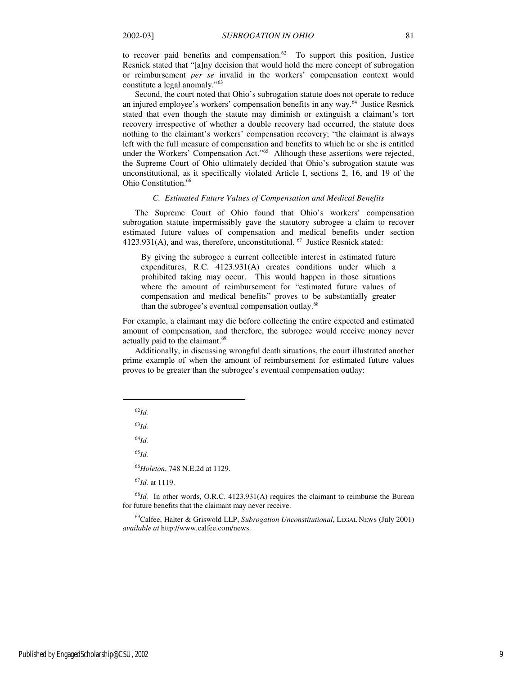to recover paid benefits and compensation.<sup>62</sup> To support this position, Justice Resnick stated that "[a]ny decision that would hold the mere concept of subrogation or reimbursement *per se* invalid in the workers' compensation context would constitute a legal anomaly."<sup>63</sup>

Second, the court noted that Ohio's subrogation statute does not operate to reduce an injured employee's workers' compensation benefits in any way.<sup>64</sup> Justice Resnick stated that even though the statute may diminish or extinguish a claimant's tort recovery irrespective of whether a double recovery had occurred, the statute does nothing to the claimant's workers' compensation recovery; "the claimant is always left with the full measure of compensation and benefits to which he or she is entitled under the Workers' Compensation Act."<sup>65</sup> Although these assertions were rejected, the Supreme Court of Ohio ultimately decided that Ohio's subrogation statute was unconstitutional, as it specifically violated Article I, sections 2, 16, and 19 of the Ohio Constitution.<sup>66</sup>

#### *C. Estimated Future Values of Compensation and Medical Benefits*

The Supreme Court of Ohio found that Ohio's workers' compensation subrogation statute impermissibly gave the statutory subrogee a claim to recover estimated future values of compensation and medical benefits under section 4123.931(A), and was, therefore, unconstitutional. <sup>67</sup> Justice Resnick stated:

By giving the subrogee a current collectible interest in estimated future expenditures, R.C. 4123.931(A) creates conditions under which a prohibited taking may occur. This would happen in those situations where the amount of reimbursement for "estimated future values of compensation and medical benefits" proves to be substantially greater than the subrogee's eventual compensation outlay.<sup>68</sup>

For example, a claimant may die before collecting the entire expected and estimated amount of compensation, and therefore, the subrogee would receive money never actually paid to the claimant.<sup>69</sup>

Additionally, in discussing wrongful death situations, the court illustrated another prime example of when the amount of reimbursement for estimated future values proves to be greater than the subrogee's eventual compensation outlay:

<sup>62</sup>*Id.*

 $\overline{a}$ 

<sup>63</sup>*Id.*

 $^{64}$ *Id.* 

<sup>65</sup>*Id.*

<sup>66</sup>*Holeton*, 748 N.E.2d at 1129.

<sup>67</sup>*Id.* at 1119.

<sup>68</sup>*Id.* In other words, O.R.C. 4123.931(A) requires the claimant to reimburse the Bureau for future benefits that the claimant may never receive.

<sup>69</sup>Calfee, Halter & Griswold LLP, *Subrogation Unconstitutional*, LEGAL NEWS (July 2001) *available at* http://www.calfee.com/news.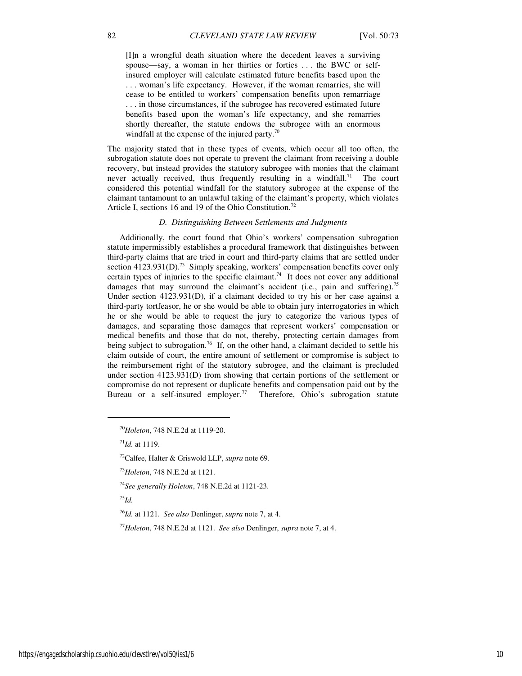[I]n a wrongful death situation where the decedent leaves a surviving spouse—say, a woman in her thirties or forties . . . the BWC or selfinsured employer will calculate estimated future benefits based upon the . . . woman's life expectancy. However, if the woman remarries, she will cease to be entitled to workers' compensation benefits upon remarriage . . . in those circumstances, if the subrogee has recovered estimated future benefits based upon the woman's life expectancy, and she remarries shortly thereafter, the statute endows the subrogee with an enormous windfall at the expense of the injured party. $\frac{70}{2}$ 

The majority stated that in these types of events, which occur all too often, the subrogation statute does not operate to prevent the claimant from receiving a double recovery, but instead provides the statutory subrogee with monies that the claimant never actually received, thus frequently resulting in a windfall.<sup>71</sup> The court considered this potential windfall for the statutory subrogee at the expense of the claimant tantamount to an unlawful taking of the claimant's property, which violates Article I, sections 16 and 19 of the Ohio Constitution.<sup>72</sup>

#### *D. Distinguishing Between Settlements and Judgments*

Additionally, the court found that Ohio's workers' compensation subrogation statute impermissibly establishes a procedural framework that distinguishes between third-party claims that are tried in court and third-party claims that are settled under section  $4123.931(D)$ .<sup>73</sup> Simply speaking, workers' compensation benefits cover only certain types of injuries to the specific claimant.<sup>74</sup> It does not cover any additional damages that may surround the claimant's accident (i.e., pain and suffering).<sup>75</sup> Under section 4123.931(D), if a claimant decided to try his or her case against a third-party tortfeasor, he or she would be able to obtain jury interrogatories in which he or she would be able to request the jury to categorize the various types of damages, and separating those damages that represent workers' compensation or medical benefits and those that do not, thereby, protecting certain damages from being subject to subrogation.<sup>76</sup> If, on the other hand, a claimant decided to settle his claim outside of court, the entire amount of settlement or compromise is subject to the reimbursement right of the statutory subrogee, and the claimant is precluded under section 4123.931(D) from showing that certain portions of the settlement or compromise do not represent or duplicate benefits and compensation paid out by the Bureau or a self-insured employer.<sup>77</sup> Therefore, Ohio's subrogation statute

 $11Jd$ . at 1119.

<sup>75</sup>*Id.*

1

<sup>70</sup>*Holeton*, 748 N.E.2d at 1119-20.

<sup>72</sup>Calfee, Halter & Griswold LLP, *supra* note 69.

<sup>73</sup>*Holeton*, 748 N.E.2d at 1121.

<sup>74</sup>*See generally Holeton*, 748 N.E.2d at 1121-23.

<sup>76</sup>*Id.* at 1121. *See also* Denlinger, *supra* note 7, at 4.

<sup>77</sup>*Holeton*, 748 N.E.2d at 1121. *See also* Denlinger, *supra* note 7, at 4.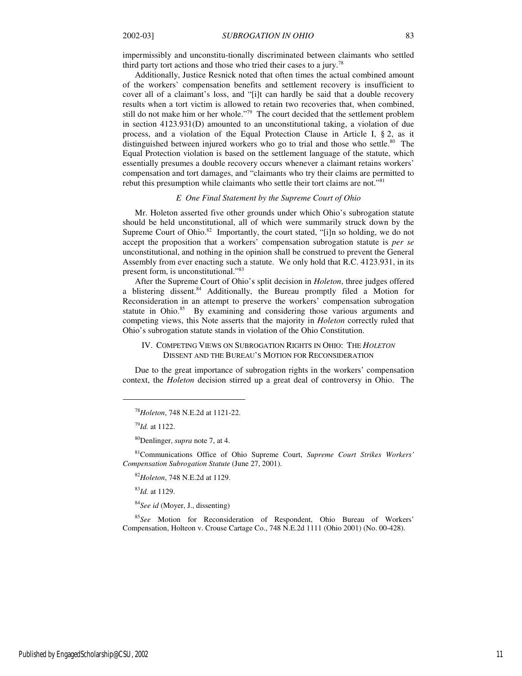impermissibly and unconstitu-tionally discriminated between claimants who settled third party tort actions and those who tried their cases to a jury.<sup>78</sup>

Additionally, Justice Resnick noted that often times the actual combined amount of the workers' compensation benefits and settlement recovery is insufficient to cover all of a claimant's loss, and "[i]t can hardly be said that a double recovery results when a tort victim is allowed to retain two recoveries that, when combined, still do not make him or her whole."<sup>79</sup> The court decided that the settlement problem in section 4123.931(D) amounted to an unconstitutional taking, a violation of due process, and a violation of the Equal Protection Clause in Article I, § 2, as it distinguished between injured workers who go to trial and those who settle.<sup>80</sup> The Equal Protection violation is based on the settlement language of the statute, which essentially presumes a double recovery occurs whenever a claimant retains workers' compensation and tort damages, and "claimants who try their claims are permitted to rebut this presumption while claimants who settle their tort claims are not."<sup>81</sup>

#### *E One Final Statement by the Supreme Court of Ohio*

Mr. Holeton asserted five other grounds under which Ohio's subrogation statute should be held unconstitutional, all of which were summarily struck down by the Supreme Court of Ohio.<sup>82</sup> Importantly, the court stated, "[i]n so holding, we do not accept the proposition that a workers' compensation subrogation statute is *per se* unconstitutional, and nothing in the opinion shall be construed to prevent the General Assembly from ever enacting such a statute. We only hold that R.C. 4123.931, in its present form, is unconstitutional."<sup>83</sup>

After the Supreme Court of Ohio's split decision in *Holeton*, three judges offered a blistering dissent.<sup>84</sup> Additionally, the Bureau promptly filed a Motion for Reconsideration in an attempt to preserve the workers' compensation subrogation statute in Ohio.<sup>85</sup> By examining and considering those various arguments and competing views, this Note asserts that the majority in *Holeton* correctly ruled that Ohio's subrogation statute stands in violation of the Ohio Constitution.

#### IV. COMPETING VIEWS ON SUBROGATION RIGHTS IN OHIO: THE *HOLETON*  DISSENT AND THE BUREAU'S MOTION FOR RECONSIDERATION

Due to the great importance of subrogation rights in the workers' compensation context, the *Holeton* decision stirred up a great deal of controversy in Ohio. The

1

<sup>81</sup>Communications Office of Ohio Supreme Court, *Supreme Court Strikes Workers' Compensation Subrogation Statute* (June 27, 2001).

<sup>82</sup>*Holeton*, 748 N.E.2d at 1129.

<sup>83</sup>*Id.* at 1129.

<sup>84</sup>*See id* (Moyer, J., dissenting)

<sup>85</sup>*See* Motion for Reconsideration of Respondent, Ohio Bureau of Workers' Compensation, Holteon v. Crouse Cartage Co., 748 N.E.2d 1111 (Ohio 2001) (No. 00-428).

<sup>78</sup>*Holeton*, 748 N.E.2d at 1121-22.

<sup>79</sup>*Id.* at 1122.

<sup>80</sup>Denlinger, *supra* note 7, at 4.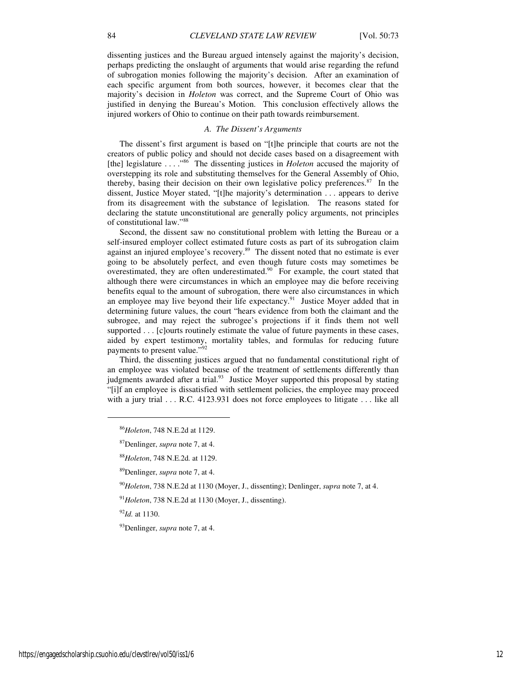dissenting justices and the Bureau argued intensely against the majority's decision, perhaps predicting the onslaught of arguments that would arise regarding the refund of subrogation monies following the majority's decision. After an examination of each specific argument from both sources, however, it becomes clear that the majority's decision in *Holeton* was correct, and the Supreme Court of Ohio was justified in denying the Bureau's Motion. This conclusion effectively allows the injured workers of Ohio to continue on their path towards reimbursement.

#### *A. The Dissent's Arguments*

The dissent's first argument is based on "[t]he principle that courts are not the creators of public policy and should not decide cases based on a disagreement with [the] legislature . . . ."<sup>86</sup> The dissenting justices in *Holeton* accused the majority of overstepping its role and substituting themselves for the General Assembly of Ohio, thereby, basing their decision on their own legislative policy preferences.<sup>87</sup> In the dissent, Justice Moyer stated, "[t]he majority's determination . . . appears to derive from its disagreement with the substance of legislation. The reasons stated for declaring the statute unconstitutional are generally policy arguments, not principles of constitutional law."<sup>88</sup>

Second, the dissent saw no constitutional problem with letting the Bureau or a self-insured employer collect estimated future costs as part of its subrogation claim against an injured employee's recovery.<sup>89</sup> The dissent noted that no estimate is ever going to be absolutely perfect, and even though future costs may sometimes be overestimated, they are often underestimated.<sup>90</sup> For example, the court stated that although there were circumstances in which an employee may die before receiving benefits equal to the amount of subrogation, there were also circumstances in which an employee may live beyond their life expectancy.<sup>91</sup> Justice Moyer added that in determining future values, the court "hears evidence from both the claimant and the subrogee, and may reject the subrogee's projections if it finds them not well supported . . . [c]ourts routinely estimate the value of future payments in these cases, aided by expert testimony, mortality tables, and formulas for reducing future payments to present value."<sup>92</sup>

Third, the dissenting justices argued that no fundamental constitutional right of an employee was violated because of the treatment of settlements differently than judgments awarded after a trial.<sup>93</sup> Justice Moyer supported this proposal by stating "[i]f an employee is dissatisfied with settlement policies, the employee may proceed with a jury trial . . . R.C. 4123.931 does not force employees to litigate . . . like all

<sup>90</sup>*Holeton*, 738 N.E.2d at 1130 (Moyer, J., dissenting); Denlinger, *supra* note 7, at 4.

<sup>92</sup>*Id.* at 1130.

<sup>93</sup>Denlinger, *supra* note 7, at 4.

1

<sup>86</sup>*Holeton*, 748 N.E.2d at 1129.

<sup>87</sup>Denlinger, *supra* note 7, at 4.

<sup>88</sup>*Holeton*, 748 N.E.2d*.* at 1129.

<sup>89</sup>Denlinger, *supra* note 7, at 4.

<sup>91</sup>*Holeton*, 738 N.E.2d at 1130 (Moyer, J., dissenting).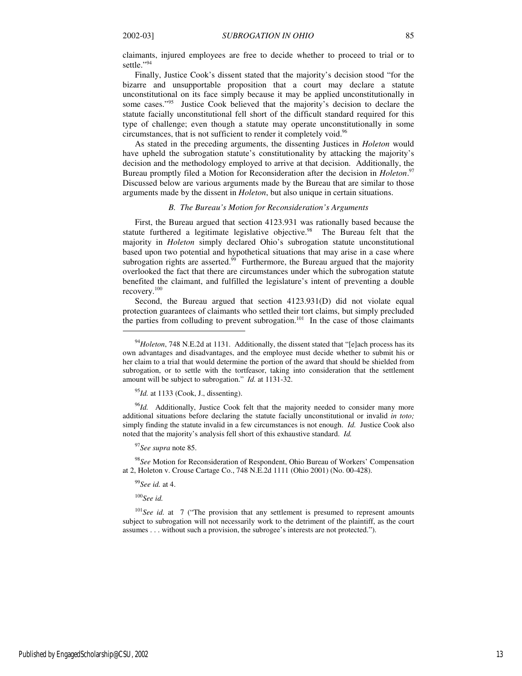claimants, injured employees are free to decide whether to proceed to trial or to settle."<sup>94</sup>

Finally, Justice Cook's dissent stated that the majority's decision stood "for the bizarre and unsupportable proposition that a court may declare a statute unconstitutional on its face simply because it may be applied unconstitutionally in some cases."<sup>95</sup> Justice Cook believed that the majority's decision to declare the statute facially unconstitutional fell short of the difficult standard required for this type of challenge; even though a statute may operate unconstitutionally in some circumstances, that is not sufficient to render it completely void.<sup>96</sup>

As stated in the preceding arguments, the dissenting Justices in *Holeton* would have upheld the subrogation statute's constitutionality by attacking the majority's decision and the methodology employed to arrive at that decision. Additionally, the Bureau promptly filed a Motion for Reconsideration after the decision in *Holeton*. 97 Discussed below are various arguments made by the Bureau that are similar to those arguments made by the dissent in *Holeton*, but also unique in certain situations.

#### *B. The Bureau's Motion for Reconsideration's Arguments*

First, the Bureau argued that section 4123.931 was rationally based because the statute furthered a legitimate legislative objective.<sup>98</sup> The Bureau felt that the majority in *Holeton* simply declared Ohio's subrogation statute unconstitutional based upon two potential and hypothetical situations that may arise in a case where subrogation rights are asserted. $99$  Furthermore, the Bureau argued that the majority overlooked the fact that there are circumstances under which the subrogation statute benefited the claimant, and fulfilled the legislature's intent of preventing a double recovery.<sup>100</sup>

Second, the Bureau argued that section 4123.931(D) did not violate equal protection guarantees of claimants who settled their tort claims, but simply precluded the parties from colluding to prevent subrogation.<sup>101</sup> In the case of those claimants

<sup>95</sup>*Id.* at 1133 (Cook, J., dissenting).

<sup>96</sup>Id. Additionally, Justice Cook felt that the majority needed to consider many more additional situations before declaring the statute facially unconstitutional or invalid *in toto;*  simply finding the statute invalid in a few circumstances is not enough. *Id.* Justice Cook also noted that the majority's analysis fell short of this exhaustive standard. *Id.* 

<sup>97</sup>*See supra* note 85.

<sup>98</sup>*See* Motion for Reconsideration of Respondent, Ohio Bureau of Workers' Compensation at 2, Holeton v. Crouse Cartage Co., 748 N.E.2d 1111 (Ohio 2001) (No. 00-428).

<sup>99</sup>*See id.* at 4.

<sup>100</sup>*See id.*

 $\overline{a}$ 

<sup>101</sup>See id. at 7 ("The provision that any settlement is presumed to represent amounts subject to subrogation will not necessarily work to the detriment of the plaintiff, as the court assumes . . . without such a provision, the subrogee's interests are not protected.").

<sup>&</sup>lt;sup>94</sup>*Holeton*, 748 N.E.2d at 1131. Additionally, the dissent stated that "[e]ach process has its own advantages and disadvantages, and the employee must decide whether to submit his or her claim to a trial that would determine the portion of the award that should be shielded from subrogation, or to settle with the tortfeasor, taking into consideration that the settlement amount will be subject to subrogation." *Id.* at 1131-32.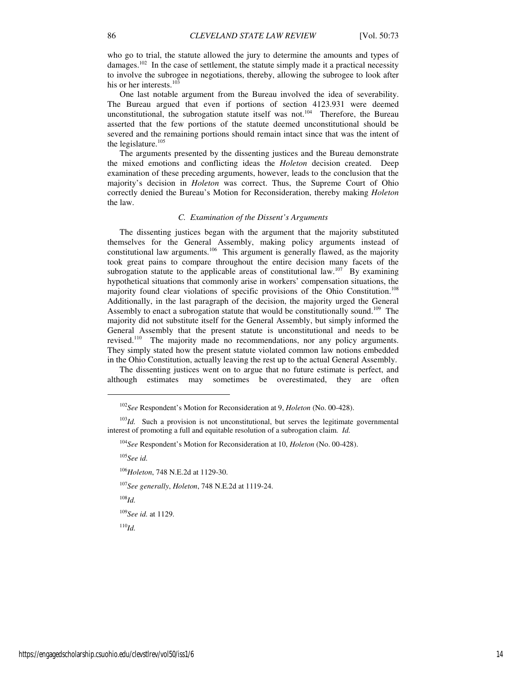who go to trial, the statute allowed the jury to determine the amounts and types of damages.<sup>102</sup> In the case of settlement, the statute simply made it a practical necessity to involve the subrogee in negotiations, thereby, allowing the subrogee to look after his or her interests.<sup>103</sup>

One last notable argument from the Bureau involved the idea of severability. The Bureau argued that even if portions of section 4123.931 were deemed unconstitutional, the subrogation statute itself was not.<sup>104</sup> Therefore, the Bureau asserted that the few portions of the statute deemed unconstitutional should be severed and the remaining portions should remain intact since that was the intent of the legislature.<sup>105</sup>

The arguments presented by the dissenting justices and the Bureau demonstrate the mixed emotions and conflicting ideas the *Holeton* decision created. Deep examination of these preceding arguments, however, leads to the conclusion that the majority's decision in *Holeton* was correct. Thus, the Supreme Court of Ohio correctly denied the Bureau's Motion for Reconsideration, thereby making *Holeton*  the law.

#### *C. Examination of the Dissent's Arguments*

The dissenting justices began with the argument that the majority substituted themselves for the General Assembly, making policy arguments instead of constitutional law arguments.<sup>106</sup> This argument is generally flawed, as the majority took great pains to compare throughout the entire decision many facets of the subrogation statute to the applicable areas of constitutional law.<sup>107</sup> By examining hypothetical situations that commonly arise in workers' compensation situations, the majority found clear violations of specific provisions of the Ohio Constitution.<sup>108</sup> Additionally, in the last paragraph of the decision, the majority urged the General Assembly to enact a subrogation statute that would be constitutionally sound.<sup>109</sup> The majority did not substitute itself for the General Assembly, but simply informed the General Assembly that the present statute is unconstitutional and needs to be revised.<sup>110</sup> The majority made no recommendations, nor any policy arguments. They simply stated how the present statute violated common law notions embedded in the Ohio Constitution, actually leaving the rest up to the actual General Assembly.

The dissenting justices went on to argue that no future estimate is perfect, and although estimates may sometimes be overestimated, they are often

<sup>105</sup>*See id.*

 $\overline{a}$ 

<sup>106</sup>*Holeton*, 748 N.E.2d at 1129-30.

<sup>107</sup>*See generally*, *Holeton*, 748 N.E.2d at 1119-24.

<sup>108</sup>*Id.*

<sup>109</sup>*See id.* at 1129.

<sup>110</sup>*Id.*

<sup>102</sup>*See* Respondent's Motion for Reconsideration at 9, *Holeton* (No. 00-428).

<sup>&</sup>lt;sup>103</sup>*Id.* Such a provision is not unconstitutional, but serves the legitimate governmental interest of promoting a full and equitable resolution of a subrogation claim. *Id.* 

<sup>104</sup>*See* Respondent's Motion for Reconsideration at 10, *Holeton* (No. 00-428).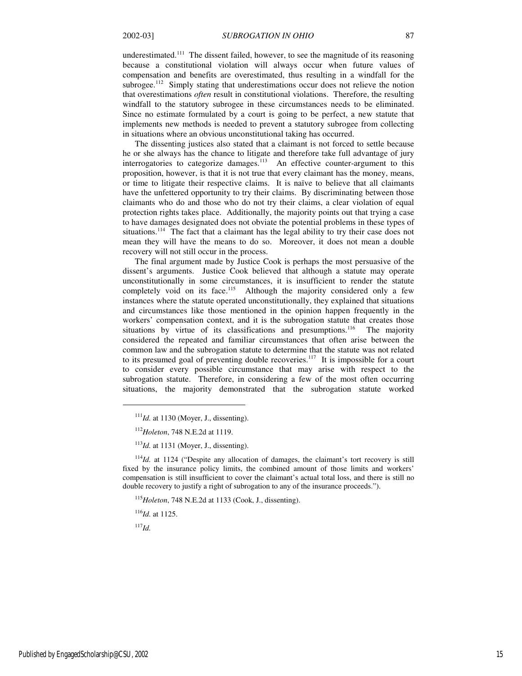underestimated.<sup>111</sup> The dissent failed, however, to see the magnitude of its reasoning because a constitutional violation will always occur when future values of compensation and benefits are overestimated, thus resulting in a windfall for the subrogee.<sup>112</sup> Simply stating that underestimations occur does not relieve the notion that overestimations *often* result in constitutional violations. Therefore, the resulting windfall to the statutory subrogee in these circumstances needs to be eliminated. Since no estimate formulated by a court is going to be perfect, a new statute that implements new methods is needed to prevent a statutory subrogee from collecting in situations where an obvious unconstitutional taking has occurred.

The dissenting justices also stated that a claimant is not forced to settle because he or she always has the chance to litigate and therefore take full advantage of jury interrogatories to categorize damages.<sup>113</sup> An effective counter-argument to this proposition, however, is that it is not true that every claimant has the money, means, or time to litigate their respective claims. It is naïve to believe that all claimants have the unfettered opportunity to try their claims. By discriminating between those claimants who do and those who do not try their claims, a clear violation of equal protection rights takes place. Additionally, the majority points out that trying a case to have damages designated does not obviate the potential problems in these types of situations.<sup>114</sup> The fact that a claimant has the legal ability to try their case does not mean they will have the means to do so. Moreover, it does not mean a double recovery will not still occur in the process.

The final argument made by Justice Cook is perhaps the most persuasive of the dissent's arguments. Justice Cook believed that although a statute may operate unconstitutionally in some circumstances, it is insufficient to render the statute completely void on its face.<sup>115</sup> Although the majority considered only a few instances where the statute operated unconstitutionally, they explained that situations and circumstances like those mentioned in the opinion happen frequently in the workers' compensation context, and it is the subrogation statute that creates those situations by virtue of its classifications and presumptions.<sup>116</sup> The majority considered the repeated and familiar circumstances that often arise between the common law and the subrogation statute to determine that the statute was not related to its presumed goal of preventing double recoveries.<sup>117</sup> It is impossible for a court to consider every possible circumstance that may arise with respect to the subrogation statute. Therefore, in considering a few of the most often occurring situations, the majority demonstrated that the subrogation statute worked

<sup>116</sup>*Id.* at 1125.

<sup>117</sup>*Id.*

1

 $111$ *Id.* at 1130 (Moyer, J., dissenting).

<sup>112</sup>*Holeton*, 748 N.E.2d at 1119.

<sup>113</sup>*Id.* at 1131 (Moyer, J., dissenting).

<sup>&</sup>lt;sup>114</sup>*Id.* at 1124 ("Despite any allocation of damages, the claimant's tort recovery is still fixed by the insurance policy limits, the combined amount of those limits and workers' compensation is still insufficient to cover the claimant's actual total loss, and there is still no double recovery to justify a right of subrogation to any of the insurance proceeds.").

<sup>115</sup>*Holeton*, 748 N.E.2d at 1133 (Cook, J., dissenting).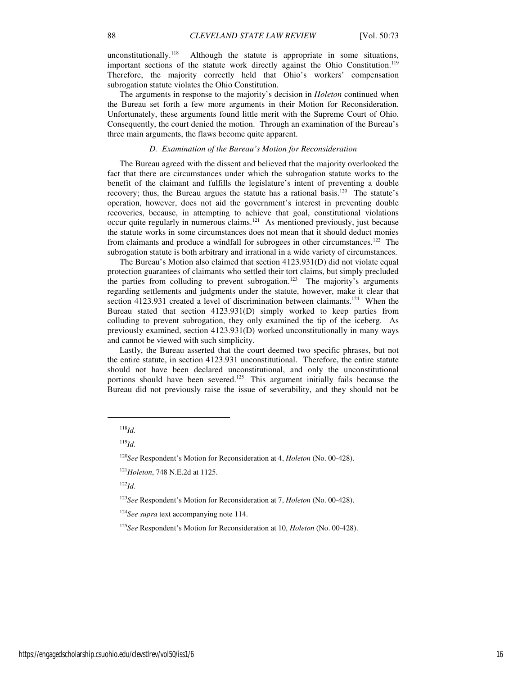unconstitutionally.<sup>118</sup> Although the statute is appropriate in some situations, important sections of the statute work directly against the Ohio Constitution.<sup>119</sup> Therefore, the majority correctly held that Ohio's workers' compensation subrogation statute violates the Ohio Constitution.

The arguments in response to the majority's decision in *Holeton* continued when the Bureau set forth a few more arguments in their Motion for Reconsideration. Unfortunately, these arguments found little merit with the Supreme Court of Ohio. Consequently, the court denied the motion. Through an examination of the Bureau's three main arguments, the flaws become quite apparent.

#### *D. Examination of the Bureau's Motion for Reconsideration*

The Bureau agreed with the dissent and believed that the majority overlooked the fact that there are circumstances under which the subrogation statute works to the benefit of the claimant and fulfills the legislature's intent of preventing a double recovery; thus, the Bureau argues the statute has a rational basis.<sup>120</sup> The statute's operation, however, does not aid the government's interest in preventing double recoveries, because, in attempting to achieve that goal, constitutional violations occur quite regularly in numerous claims.<sup>121</sup> As mentioned previously, just because the statute works in some circumstances does not mean that it should deduct monies from claimants and produce a windfall for subrogees in other circumstances.<sup>122</sup> The subrogation statute is both arbitrary and irrational in a wide variety of circumstances.

The Bureau's Motion also claimed that section 4123.931(D) did not violate equal protection guarantees of claimants who settled their tort claims, but simply precluded the parties from colluding to prevent subrogation.<sup>123</sup> The majority's arguments regarding settlements and judgments under the statute, however, make it clear that section 4123.931 created a level of discrimination between claimants.<sup>124</sup> When the Bureau stated that section 4123.931(D) simply worked to keep parties from colluding to prevent subrogation, they only examined the tip of the iceberg. As previously examined, section 4123.931(D) worked unconstitutionally in many ways and cannot be viewed with such simplicity.

Lastly, the Bureau asserted that the court deemed two specific phrases, but not the entire statute, in section 4123.931 unconstitutional. Therefore, the entire statute should not have been declared unconstitutional, and only the unconstitutional portions should have been severed.<sup>125</sup> This argument initially fails because the Bureau did not previously raise the issue of severability, and they should not be

1

<sup>122</sup>*Id*.

<sup>118</sup>*Id.*

<sup>119</sup>*Id.* 

<sup>120</sup>*See* Respondent's Motion for Reconsideration at 4, *Holeton* (No. 00-428).

<sup>121</sup>*Holeton*, 748 N.E.2d at 1125.

<sup>123</sup>*See* Respondent's Motion for Reconsideration at 7, *Holeton* (No. 00-428).

<sup>&</sup>lt;sup>124</sup>See supra text accompanying note 114.

<sup>125</sup>*See* Respondent's Motion for Reconsideration at 10, *Holeton* (No. 00-428).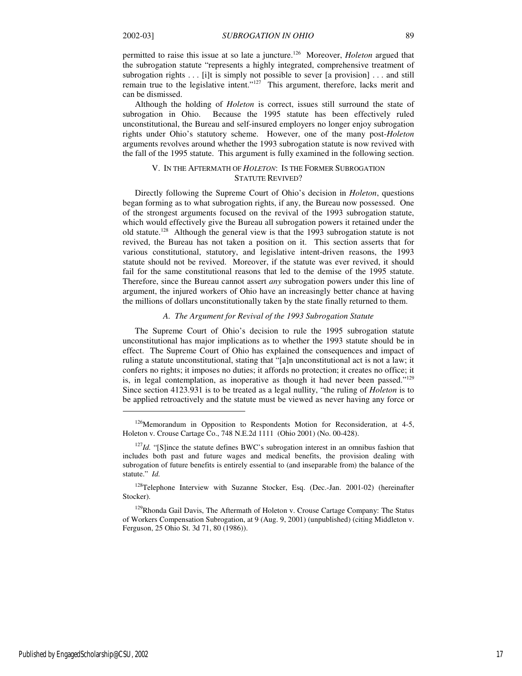permitted to raise this issue at so late a juncture.<sup>126</sup> Moreover, *Holeton* argued that the subrogation statute "represents a highly integrated, comprehensive treatment of subrogation rights  $\dots$  [i]t is simply not possible to sever [a provision]  $\dots$  and still remain true to the legislative intent."<sup>127</sup> This argument, therefore, lacks merit and can be dismissed.

Although the holding of *Holeton* is correct, issues still surround the state of subrogation in Ohio. Because the 1995 statute has been effectively ruled unconstitutional, the Bureau and self-insured employers no longer enjoy subrogation rights under Ohio's statutory scheme. However, one of the many post-*Holeton*  arguments revolves around whether the 1993 subrogation statute is now revived with the fall of the 1995 statute. This argument is fully examined in the following section.

# V. IN THE AFTERMATH OF *HOLETON*: IS THE FORMER SUBROGATION STATUTE REVIVED?

Directly following the Supreme Court of Ohio's decision in *Holeton*, questions began forming as to what subrogation rights, if any, the Bureau now possessed. One of the strongest arguments focused on the revival of the 1993 subrogation statute, which would effectively give the Bureau all subrogation powers it retained under the old statute.<sup>128</sup> Although the general view is that the 1993 subrogation statute is not revived, the Bureau has not taken a position on it. This section asserts that for various constitutional, statutory, and legislative intent-driven reasons, the 1993 statute should not be revived. Moreover, if the statute was ever revived, it should fail for the same constitutional reasons that led to the demise of the 1995 statute. Therefore, since the Bureau cannot assert *any* subrogation powers under this line of argument, the injured workers of Ohio have an increasingly better chance at having the millions of dollars unconstitutionally taken by the state finally returned to them.

#### *A. The Argument for Revival of the 1993 Subrogation Statute*

The Supreme Court of Ohio's decision to rule the 1995 subrogation statute unconstitutional has major implications as to whether the 1993 statute should be in effect. The Supreme Court of Ohio has explained the consequences and impact of ruling a statute unconstitutional, stating that "[a]n unconstitutional act is not a law; it confers no rights; it imposes no duties; it affords no protection; it creates no office; it is, in legal contemplation, as inoperative as though it had never been passed."<sup>129</sup> Since section 4123.931 is to be treated as a legal nullity, "the ruling of *Holeton* is to be applied retroactively and the statute must be viewed as never having any force or

1

 $126$ Memorandum in Opposition to Respondents Motion for Reconsideration, at 4-5, Holeton v. Crouse Cartage Co., 748 N.E.2d 1111 (Ohio 2001) (No. 00-428).

<sup>&</sup>lt;sup>127</sup>*Id.* "[S]ince the statute defines BWC's subrogation interest in an omnibus fashion that includes both past and future wages and medical benefits, the provision dealing with subrogation of future benefits is entirely essential to (and inseparable from) the balance of the statute." *Id.*

<sup>128</sup>Telephone Interview with Suzanne Stocker, Esq. (Dec.-Jan. 2001-02) (hereinafter Stocker).

<sup>&</sup>lt;sup>129</sup>Rhonda Gail Davis, The Aftermath of Holeton v. Crouse Cartage Company: The Status of Workers Compensation Subrogation, at 9 (Aug. 9, 2001) (unpublished) (citing Middleton v. Ferguson, 25 Ohio St. 3d 71, 80 (1986)).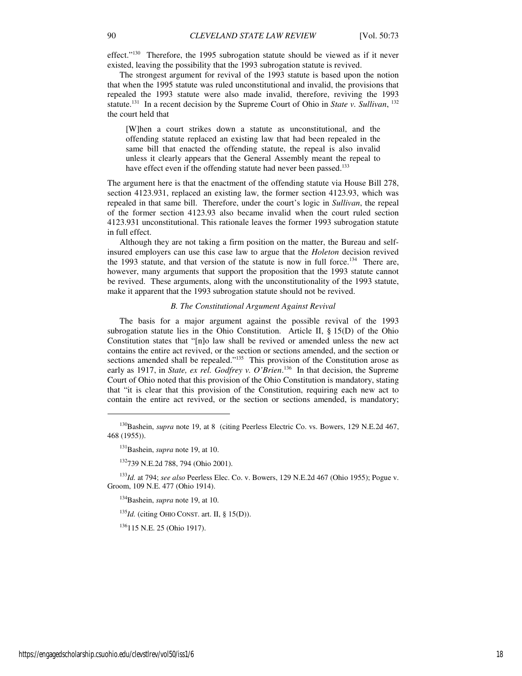effect."<sup>130</sup> Therefore, the 1995 subrogation statute should be viewed as if it never existed, leaving the possibility that the 1993 subrogation statute is revived.

The strongest argument for revival of the 1993 statute is based upon the notion that when the 1995 statute was ruled unconstitutional and invalid, the provisions that repealed the 1993 statute were also made invalid, therefore, reviving the 1993 statute.<sup>131</sup> In a recent decision by the Supreme Court of Ohio in *State v. Sullivan*, <sup>132</sup> the court held that

[W]hen a court strikes down a statute as unconstitutional, and the offending statute replaced an existing law that had been repealed in the same bill that enacted the offending statute, the repeal is also invalid unless it clearly appears that the General Assembly meant the repeal to have effect even if the offending statute had never been passed.<sup>133</sup>

The argument here is that the enactment of the offending statute via House Bill 278, section 4123.931, replaced an existing law, the former section 4123.93, which was repealed in that same bill. Therefore, under the court's logic in *Sullivan*, the repeal of the former section 4123.93 also became invalid when the court ruled section 4123.931 unconstitutional. This rationale leaves the former 1993 subrogation statute in full effect.

Although they are not taking a firm position on the matter, the Bureau and selfinsured employers can use this case law to argue that the *Holeton* decision revived the 1993 statute, and that version of the statute is now in full force.<sup>134</sup> There are, however, many arguments that support the proposition that the 1993 statute cannot be revived. These arguments, along with the unconstitutionality of the 1993 statute, make it apparent that the 1993 subrogation statute should not be revived.

#### *B. The Constitutional Argument Against Revival*

The basis for a major argument against the possible revival of the 1993 subrogation statute lies in the Ohio Constitution. Article  $II$ , § 15(D) of the Ohio Constitution states that "[n]o law shall be revived or amended unless the new act contains the entire act revived, or the section or sections amended, and the section or sections amended shall be repealed."<sup>135</sup> This provision of the Constitution arose as early as 1917, in *State, ex rel. Godfrey v. O'Brien*.<sup>136</sup> In that decision, the Supreme Court of Ohio noted that this provision of the Ohio Constitution is mandatory, stating that "it is clear that this provision of the Constitution, requiring each new act to contain the entire act revived, or the section or sections amended, is mandatory;

<sup>135</sup>*Id.* (citing OHIO CONST. art. II, § 15(D)).

<sup>136</sup>115 N.E. 25 (Ohio 1917).

1

<sup>&</sup>lt;sup>130</sup>Bashein, *supra* note 19, at 8 (citing Peerless Electric Co. vs. Bowers, 129 N.E.2d 467, 468 (1955)).

<sup>131</sup>Bashein, *supra* note 19, at 10.

<sup>132</sup>739 N.E.2d 788, 794 (Ohio 2001).

<sup>133</sup>*Id.* at 794; *see also* Peerless Elec. Co. v. Bowers, 129 N.E.2d 467 (Ohio 1955); Pogue v. Groom, 109 N.E. 477 (Ohio 1914).

<sup>134</sup>Bashein, *supra* note 19, at 10.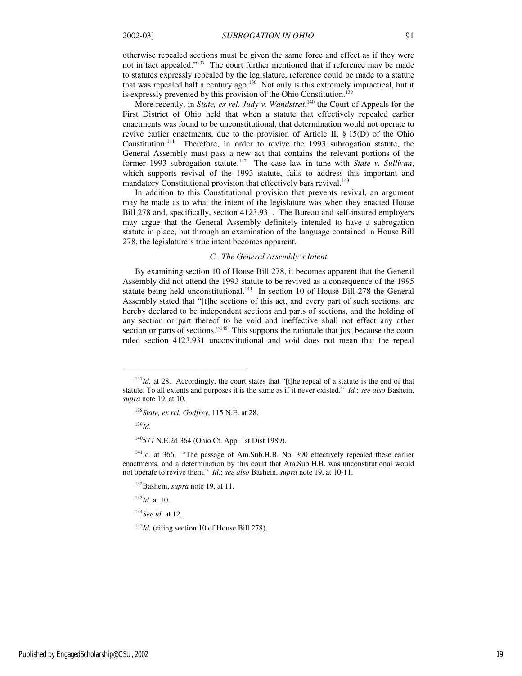otherwise repealed sections must be given the same force and effect as if they were not in fact appealed."<sup>137</sup> The court further mentioned that if reference may be made to statutes expressly repealed by the legislature, reference could be made to a statute that was repealed half a century ago.<sup>138</sup> Not only is this extremely impractical, but it is expressly prevented by this provision of the Ohio Constitution.<sup>139</sup>

More recently, in *State, ex rel. Judy v. Wandstrat*,<sup>140</sup> the Court of Appeals for the First District of Ohio held that when a statute that effectively repealed earlier enactments was found to be unconstitutional, that determination would not operate to revive earlier enactments, due to the provision of Article II, § 15(D) of the Ohio Constitution.<sup>141</sup> Therefore, in order to revive the 1993 subrogation statute, the General Assembly must pass a new act that contains the relevant portions of the former 1993 subrogation statute.<sup>142</sup> The case law in tune with *State v. Sullivan*, which supports revival of the 1993 statute, fails to address this important and mandatory Constitutional provision that effectively bars revival.<sup>143</sup>

In addition to this Constitutional provision that prevents revival, an argument may be made as to what the intent of the legislature was when they enacted House Bill 278 and, specifically, section 4123.931. The Bureau and self-insured employers may argue that the General Assembly definitely intended to have a subrogation statute in place, but through an examination of the language contained in House Bill 278, the legislature's true intent becomes apparent.

#### *C. The General Assembly's Intent*

By examining section 10 of House Bill 278, it becomes apparent that the General Assembly did not attend the 1993 statute to be revived as a consequence of the 1995 statute being held unconstitutional.<sup>144</sup> In section 10 of House Bill 278 the General Assembly stated that "[t]he sections of this act, and every part of such sections, are hereby declared to be independent sections and parts of sections, and the holding of any section or part thereof to be void and ineffective shall not effect any other section or parts of sections."<sup>145</sup> This supports the rationale that just because the court ruled section 4123.931 unconstitutional and void does not mean that the repeal

<sup>139</sup>*Id.*

j

<sup>143</sup>*Id.* at 10.

<sup>144</sup>*See id.* at 12.

<sup>145</sup>*Id.* (citing section 10 of House Bill 278).

<sup>&</sup>lt;sup>137</sup>*Id.* at 28. Accordingly, the court states that "[t]he repeal of a statute is the end of that statute. To all extents and purposes it is the same as if it never existed." *Id.*; *see also* Bashein, *supra* note 19, at 10.

<sup>138</sup>*State, ex rel. Godfrey*, 115 N.E. at 28.

<sup>140</sup>577 N.E.2d 364 (Ohio Ct. App. 1st Dist 1989).

<sup>&</sup>lt;sup>141</sup>Id. at 366. "The passage of Am.Sub.H.B. No. 390 effectively repealed these earlier enactments, and a determination by this court that Am.Sub.H.B. was unconstitutional would not operate to revive them." *Id.*; *see also* Bashein, *supra* note 19, at 10-11.

<sup>142</sup>Bashein, *supra* note 19, at 11.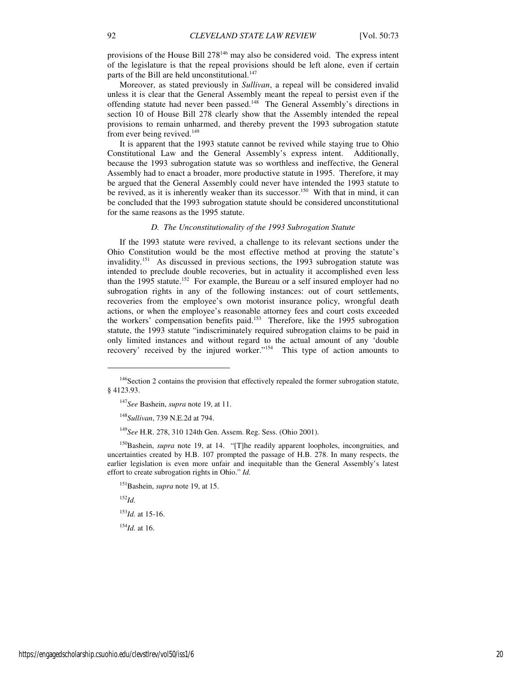provisions of the House Bill 278<sup>146</sup> may also be considered void. The express intent of the legislature is that the repeal provisions should be left alone, even if certain parts of the Bill are held unconstitutional.<sup>147</sup>

Moreover, as stated previously in *Sullivan*, a repeal will be considered invalid unless it is clear that the General Assembly meant the repeal to persist even if the offending statute had never been passed.<sup>148</sup> The General Assembly's directions in section 10 of House Bill 278 clearly show that the Assembly intended the repeal provisions to remain unharmed, and thereby prevent the 1993 subrogation statute from ever being revived.<sup>149</sup>

It is apparent that the 1993 statute cannot be revived while staying true to Ohio Constitutional Law and the General Assembly's express intent. Additionally, because the 1993 subrogation statute was so worthless and ineffective, the General Assembly had to enact a broader, more productive statute in 1995. Therefore, it may be argued that the General Assembly could never have intended the 1993 statute to be revived, as it is inherently weaker than its successor.<sup>150</sup> With that in mind, it can be concluded that the 1993 subrogation statute should be considered unconstitutional for the same reasons as the 1995 statute.

#### *D. The Unconstitutionality of the 1993 Subrogation Statute*

If the 1993 statute were revived, a challenge to its relevant sections under the Ohio Constitution would be the most effective method at proving the statute's invalidity.<sup>151</sup> As discussed in previous sections, the 1993 subrogation statute was intended to preclude double recoveries, but in actuality it accomplished even less than the 1995 statute.<sup>152</sup> For example, the Bureau or a self insured employer had no subrogation rights in any of the following instances: out of court settlements, recoveries from the employee's own motorist insurance policy, wrongful death actions, or when the employee's reasonable attorney fees and court costs exceeded the workers' compensation benefits paid.<sup>153</sup> Therefore, like the 1995 subrogation statute, the 1993 statute "indiscriminately required subrogation claims to be paid in only limited instances and without regard to the actual amount of any 'double recovery' received by the injured worker."<sup>154</sup> This type of action amounts to

 $^{152}$ *Id.* 

1

<sup>153</sup>*Id.* at 15-16.

 $154$ *Id.* at 16.

<sup>&</sup>lt;sup>146</sup>Section 2 contains the provision that effectively repealed the former subrogation statute, § 4123.93.

<sup>147</sup>*See* Bashein, *supra* note 19, at 11.

<sup>148</sup>*Sullivan*, 739 N.E.2d at 794.

<sup>149</sup>*See* H.R. 278, 310 124th Gen. Assem. Reg. Sess. (Ohio 2001).

<sup>&</sup>lt;sup>150</sup>Bashein, *supra* note 19, at 14. "[T]he readily apparent loopholes, incongruities, and uncertainties created by H.B. 107 prompted the passage of H.B. 278. In many respects, the earlier legislation is even more unfair and inequitable than the General Assembly's latest effort to create subrogation rights in Ohio." *Id.*

<sup>151</sup>Bashein, *supra* note 19, at 15.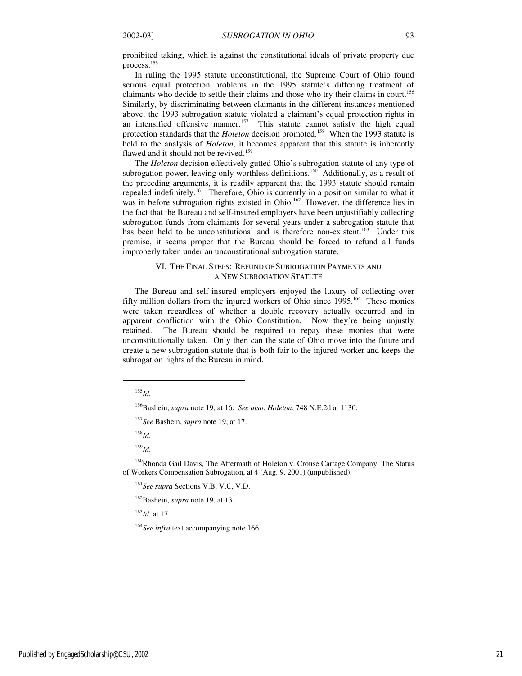prohibited taking, which is against the constitutional ideals of private property due process.<sup>155</sup>

In ruling the 1995 statute unconstitutional, the Supreme Court of Ohio found serious equal protection problems in the 1995 statute's differing treatment of claimants who decide to settle their claims and those who try their claims in court.<sup>156</sup> Similarly, by discriminating between claimants in the different instances mentioned above, the 1993 subrogation statute violated a claimant's equal protection rights in an intensified offensive manner.<sup>157</sup> This statute cannot satisfy the high equal protection standards that the *Holeton* decision promoted.<sup>158</sup> When the 1993 statute is held to the analysis of *Holeton*, it becomes apparent that this statute is inherently flawed and it should not be revived.<sup>159</sup>

The *Holeton* decision effectively gutted Ohio's subrogation statute of any type of subrogation power, leaving only worthless definitions.<sup>160</sup> Additionally, as a result of the preceding arguments, it is readily apparent that the 1993 statute should remain repealed indefinitely.<sup>161</sup> Therefore, Ohio is currently in a position similar to what it was in before subrogation rights existed in Ohio.<sup>162</sup> However, the difference lies in the fact that the Bureau and self-insured employers have been unjustifiably collecting subrogation funds from claimants for several years under a subrogation statute that has been held to be unconstitutional and is therefore non-existent.<sup>163</sup> Under this premise, it seems proper that the Bureau should be forced to refund all funds improperly taken under an unconstitutional subrogation statute.

#### VI. THE FINAL STEPS: REFUND OF SUBROGATION PAYMENTS AND A NEW SUBROGATION STATUTE

The Bureau and self-insured employers enjoyed the luxury of collecting over fifty million dollars from the injured workers of Ohio since 1995.<sup>164</sup> These monies were taken regardless of whether a double recovery actually occurred and in apparent confliction with the Ohio Constitution. Now they're being unjustly retained. The Bureau should be required to repay these monies that were unconstitutionally taken. Only then can the state of Ohio move into the future and create a new subrogation statute that is both fair to the injured worker and keeps the subrogation rights of the Bureau in mind.

 $^{155}$ *Id.* 

j

<sup>157</sup>*See* Bashein, *supra* note 19, at 17.

<sup>158</sup>*Id.*

<sup>159</sup>*Id.*

<sup>160</sup>Rhonda Gail Davis, The Aftermath of Holeton v. Crouse Cartage Company: The Status of Workers Compensation Subrogation, at 4 (Aug. 9, 2001) (unpublished).

<sup>161</sup>*See supra* Sections V.B, V.C, V.D.

<sup>162</sup>Bashein, *supra* note 19, at 13.

<sup>163</sup>*Id.* at 17.

<sup>164</sup>*See infra* text accompanying note 166.

<sup>156</sup>Bashein, *supra* note 19, at 16. *See also*, *Holeton*, 748 N.E.2d at 1130.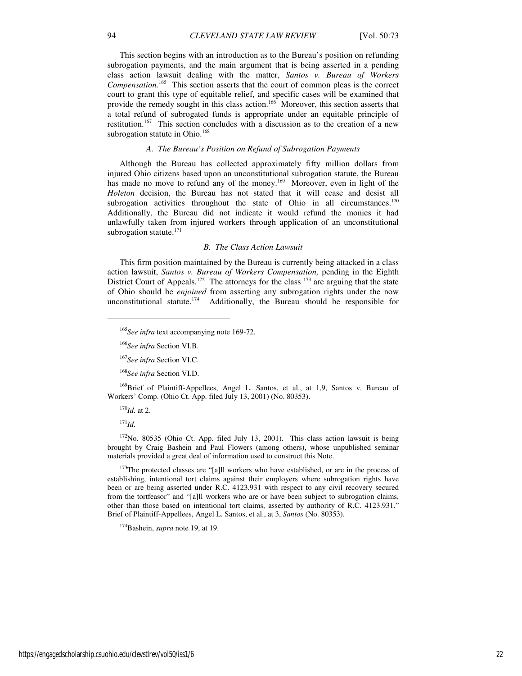This section begins with an introduction as to the Bureau's position on refunding subrogation payments, and the main argument that is being asserted in a pending class action lawsuit dealing with the matter, *Santos v. Bureau of Workers Compensation.*<sup>165</sup> This section asserts that the court of common pleas is the correct court to grant this type of equitable relief, and specific cases will be examined that provide the remedy sought in this class action.<sup>166</sup> Moreover, this section asserts that a total refund of subrogated funds is appropriate under an equitable principle of restitution.<sup>167</sup> This section concludes with a discussion as to the creation of a new subrogation statute in Ohio.<sup>168</sup>

#### *A. The Bureau's Position on Refund of Subrogation Payments*

Although the Bureau has collected approximately fifty million dollars from injured Ohio citizens based upon an unconstitutional subrogation statute, the Bureau has made no move to refund any of the money.<sup>169</sup> Moreover, even in light of the *Holeton* decision, the Bureau has not stated that it will cease and desist all subrogation activities throughout the state of Ohio in all circumstances.<sup>170</sup> Additionally, the Bureau did not indicate it would refund the monies it had unlawfully taken from injured workers through application of an unconstitutional subrogation statute.<sup>171</sup>

#### *B. The Class Action Lawsuit*

This firm position maintained by the Bureau is currently being attacked in a class action lawsuit, *Santos v. Bureau of Workers Compensation,* pending in the Eighth District Court of Appeals.<sup>172</sup> The attorneys for the class  $173$  are arguing that the state of Ohio should be *enjoined* from asserting any subrogation rights under the now unconstitutional statute.<sup>174</sup> Additionally, the Bureau should be responsible for

<sup>168</sup>*See infra* Section VI.D.

<sup>169</sup>Brief of Plaintiff-Appellees, Angel L. Santos, et al., at 1,9, Santos v. Bureau of Workers' Comp. (Ohio Ct. App. filed July 13, 2001) (No. 80353).

<sup>170</sup>*Id.* at 2.

<sup>171</sup>*Id.*

 $\overline{a}$ 

 $172$ No. 80535 (Ohio Ct. App. filed July 13, 2001). This class action lawsuit is being brought by Craig Bashein and Paul Flowers (among others), whose unpublished seminar materials provided a great deal of information used to construct this Note.

 $173$ The protected classes are "[a]ll workers who have established, or are in the process of establishing, intentional tort claims against their employers where subrogation rights have been or are being asserted under R.C. 4123.931 with respect to any civil recovery secured from the tortfeasor" and "[a]ll workers who are or have been subject to subrogation claims, other than those based on intentional tort claims, asserted by authority of R.C. 4123.931." Brief of Plaintiff-Appellees, Angel L. Santos, et al., at 3, *Santos* (No. 80353).

<sup>174</sup>Bashein, *supra* note 19, at 19.

<sup>165</sup>*See infra* text accompanying note 169-72.

<sup>166</sup>*See infra* Section VI.B.

<sup>167</sup>*See infra* Section VI.C.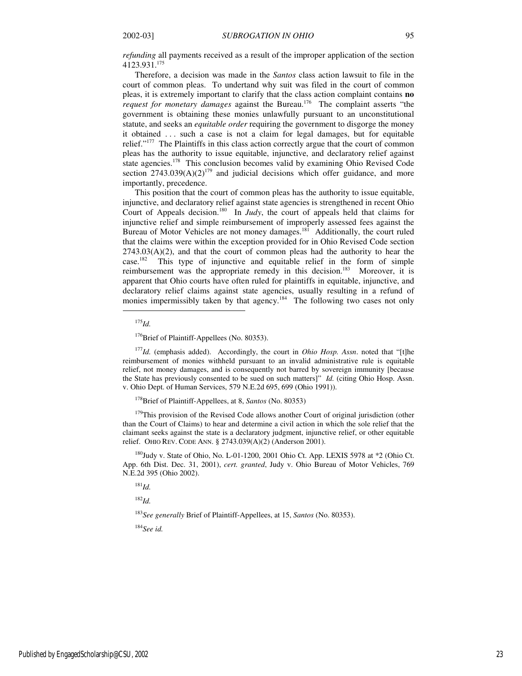*refunding* all payments received as a result of the improper application of the section 4123.931.<sup>175</sup>

Therefore, a decision was made in the *Santos* class action lawsuit to file in the court of common pleas. To undertand why suit was filed in the court of common pleas, it is extremely important to clarify that the class action complaint contains **no**  *request for monetary damages* against the Bureau.<sup>176</sup> The complaint asserts "the government is obtaining these monies unlawfully pursuant to an unconstitutional statute, and seeks an *equitable order* requiring the government to disgorge the money it obtained . . . such a case is not a claim for legal damages, but for equitable relief."<sup>177</sup> The Plaintiffs in this class action correctly argue that the court of common pleas has the authority to issue equitable, injunctive, and declaratory relief against state agencies.<sup>178</sup> This conclusion becomes valid by examining Ohio Revised Code section  $2743.039(A)(2)^{179}$  and judicial decisions which offer guidance, and more importantly, precedence.

This position that the court of common pleas has the authority to issue equitable, injunctive, and declaratory relief against state agencies is strengthened in recent Ohio Court of Appeals decision.<sup>180</sup> In *Judy*, the court of appeals held that claims for injunctive relief and simple reimbursement of improperly assessed fees against the Bureau of Motor Vehicles are not money damages.<sup>181</sup> Additionally, the court ruled that the claims were within the exception provided for in Ohio Revised Code section  $2743.03(A)(2)$ , and that the court of common pleas had the authority to hear the case.<sup>182</sup> This type of injunctive and equitable relief in the form of simple reimbursement was the appropriate remedy in this decision.<sup>183</sup> Moreover, it is apparent that Ohio courts have often ruled for plaintiffs in equitable, injunctive, and declaratory relief claims against state agencies, usually resulting in a refund of monies impermissibly taken by that agency.<sup>184</sup> The following two cases not only

<sup>175</sup>*Id.*

1

<sup>176</sup>Brief of Plaintiff-Appellees (No. 80353).

<sup>177</sup>*Id.* (emphasis added). Accordingly, the court in *Ohio Hosp. Assn*. noted that "[t]he reimbursement of monies withheld pursuant to an invalid administrative rule is equitable relief, not money damages, and is consequently not barred by sovereign immunity [because the State has previously consented to be sued on such matters]" *Id.* (citing Ohio Hosp. Assn. v. Ohio Dept. of Human Services, 579 N.E.2d 695, 699 (Ohio 1991)).

<sup>178</sup>Brief of Plaintiff-Appellees, at 8, *Santos* (No. 80353)

<sup>179</sup>This provision of the Revised Code allows another Court of original jurisdiction (other than the Court of Claims) to hear and determine a civil action in which the sole relief that the claimant seeks against the state is a declaratory judgment, injunctive relief, or other equitable relief. OHIO REV. CODE ANN. § 2743.039(A)(2) (Anderson 2001).

<sup>180</sup>Judy v. State of Ohio, No. L-01-1200, 2001 Ohio Ct. App. LEXIS 5978 at \*2 (Ohio Ct. App. 6th Dist. Dec. 31, 2001), *cert. granted*, Judy v. Ohio Bureau of Motor Vehicles, 769 N.E.2d 395 (Ohio 2002).

<sup>181</sup>*Id.*

<sup>182</sup>*Id.*

<sup>183</sup>*See generally* Brief of Plaintiff-Appellees, at 15, *Santos* (No. 80353).

<sup>184</sup>*See id.*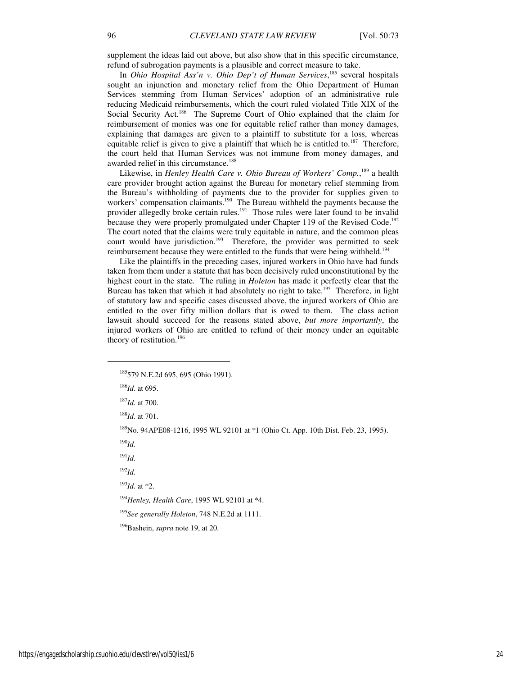supplement the ideas laid out above, but also show that in this specific circumstance, refund of subrogation payments is a plausible and correct measure to take.

In *Ohio Hospital Ass'n v. Ohio Dep't of Human Services*, <sup>185</sup> several hospitals sought an injunction and monetary relief from the Ohio Department of Human Services stemming from Human Services' adoption of an administrative rule reducing Medicaid reimbursements, which the court ruled violated Title XIX of the Social Security Act.<sup>186</sup> The Supreme Court of Ohio explained that the claim for reimbursement of monies was one for equitable relief rather than money damages, explaining that damages are given to a plaintiff to substitute for a loss, whereas equitable relief is given to give a plaintiff that which he is entitled to.<sup>187</sup> Therefore, the court held that Human Services was not immune from money damages, and awarded relief in this circumstance.<sup>188</sup>

Likewise, in *Henley Health Care v. Ohio Bureau of Workers' Comp.*,<sup>189</sup> a health care provider brought action against the Bureau for monetary relief stemming from the Bureau's withholding of payments due to the provider for supplies given to workers' compensation claimants.<sup>190</sup> The Bureau withheld the payments because the provider allegedly broke certain rules.<sup>191</sup> Those rules were later found to be invalid because they were properly promulgated under Chapter 119 of the Revised Code.<sup>192</sup> The court noted that the claims were truly equitable in nature, and the common pleas court would have jurisdiction.<sup>193</sup> Therefore, the provider was permitted to seek reimbursement because they were entitled to the funds that were being withheld.<sup>194</sup>

Like the plaintiffs in the preceding cases, injured workers in Ohio have had funds taken from them under a statute that has been decisively ruled unconstitutional by the highest court in the state. The ruling in *Holeton* has made it perfectly clear that the Bureau has taken that which it had absolutely no right to take.<sup>195</sup> Therefore, in light of statutory law and specific cases discussed above, the injured workers of Ohio are entitled to the over fifty million dollars that is owed to them. The class action lawsuit should succeed for the reasons stated above, *but more importantly*, the injured workers of Ohio are entitled to refund of their money under an equitable theory of restitution.<sup>196</sup>

1

<sup>187</sup>*Id.* at 700.

<sup>188</sup>*Id.* at 701.

<sup>189</sup>No. 94APE08-1216, 1995 WL 92101 at \*1 (Ohio Ct. App. 10th Dist. Feb. 23, 1995).

<sup>190</sup>*Id.*

<sup>191</sup>*Id.*

<sup>192</sup>*Id.*

<sup>193</sup>*Id.* at \*2.

<sup>194</sup>*Henley, Health Care*, 1995 WL 92101 at \*4.

<sup>195</sup>*See generally Holeton*, 748 N.E.2d at 1111.

<sup>196</sup>Bashein, *supra* note 19, at 20.

<sup>185</sup>579 N.E.2d 695, 695 (Ohio 1991).

<sup>186</sup>*Id*. at 695.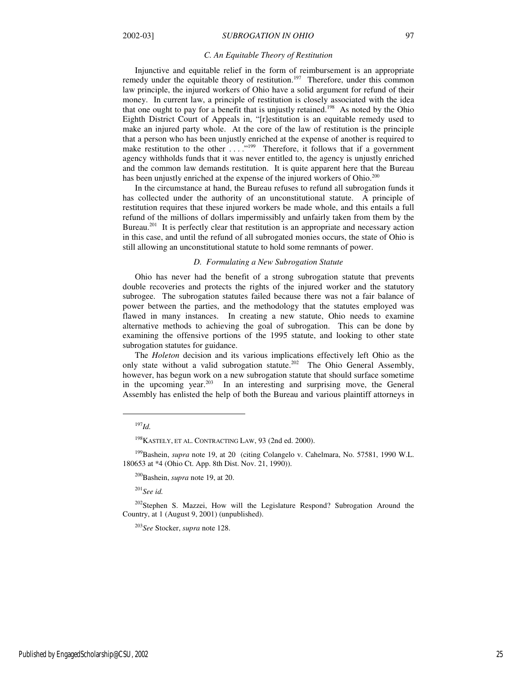#### *C. An Equitable Theory of Restitution*

Injunctive and equitable relief in the form of reimbursement is an appropriate remedy under the equitable theory of restitution.<sup>197</sup> Therefore, under this common law principle, the injured workers of Ohio have a solid argument for refund of their money. In current law, a principle of restitution is closely associated with the idea that one ought to pay for a benefit that is unjustly retained.<sup>198</sup> As noted by the Ohio Eighth District Court of Appeals in, "[r]estitution is an equitable remedy used to make an injured party whole. At the core of the law of restitution is the principle that a person who has been unjustly enriched at the expense of another is required to make restitution to the other ...."<sup>199</sup> Therefore, it follows that if a government agency withholds funds that it was never entitled to, the agency is unjustly enriched and the common law demands restitution. It is quite apparent here that the Bureau has been unjustly enriched at the expense of the injured workers of Ohio.<sup>200</sup>

In the circumstance at hand, the Bureau refuses to refund all subrogation funds it has collected under the authority of an unconstitutional statute. A principle of restitution requires that these injured workers be made whole, and this entails a full refund of the millions of dollars impermissibly and unfairly taken from them by the Bureau.<sup>201</sup> It is perfectly clear that restitution is an appropriate and necessary action in this case, and until the refund of all subrogated monies occurs, the state of Ohio is still allowing an unconstitutional statute to hold some remnants of power.

#### *D. Formulating a New Subrogation Statute*

Ohio has never had the benefit of a strong subrogation statute that prevents double recoveries and protects the rights of the injured worker and the statutory subrogee. The subrogation statutes failed because there was not a fair balance of power between the parties, and the methodology that the statutes employed was flawed in many instances. In creating a new statute, Ohio needs to examine alternative methods to achieving the goal of subrogation. This can be done by examining the offensive portions of the 1995 statute, and looking to other state subrogation statutes for guidance.

The *Holeton* decision and its various implications effectively left Ohio as the only state without a valid subrogation statute.<sup>202</sup> The Ohio General Assembly, however, has begun work on a new subrogation statute that should surface sometime in the upcoming year. $203$  In an interesting and surprising move, the General Assembly has enlisted the help of both the Bureau and various plaintiff attorneys in

j

<sup>201</sup>*See id.* 

<sup>197</sup>*Id.*

<sup>&</sup>lt;sup>198</sup>KASTELY, ET AL. CONTRACTING LAW, 93 (2nd ed. 2000).

<sup>&</sup>lt;sup>199</sup>Bashein, *supra* note 19, at 20 (citing Colangelo v. Cahelmara, No. 57581, 1990 W.L. 180653 at \*4 (Ohio Ct. App. 8th Dist. Nov. 21, 1990)).

<sup>200</sup>Bashein, *supra* note 19, at 20.

<sup>&</sup>lt;sup>202</sup>Stephen S. Mazzei, How will the Legislature Respond? Subrogation Around the Country, at 1 (August 9, 2001) (unpublished).

<sup>203</sup>*See* Stocker, *supra* note 128.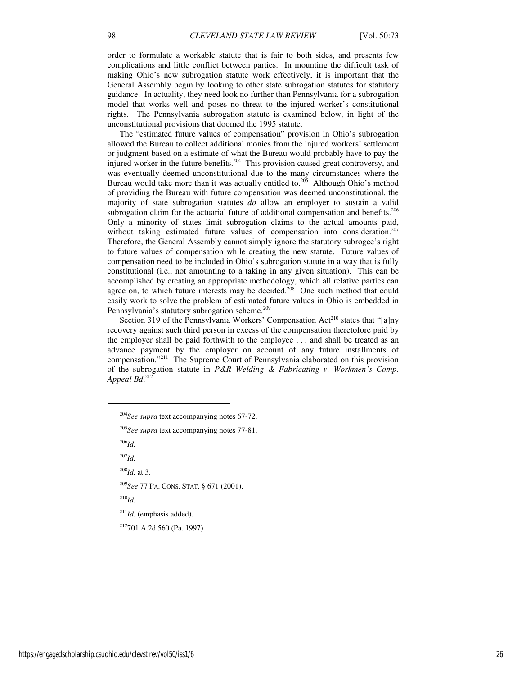order to formulate a workable statute that is fair to both sides, and presents few complications and little conflict between parties. In mounting the difficult task of making Ohio's new subrogation statute work effectively, it is important that the General Assembly begin by looking to other state subrogation statutes for statutory guidance. In actuality, they need look no further than Pennsylvania for a subrogation model that works well and poses no threat to the injured worker's constitutional rights. The Pennsylvania subrogation statute is examined below, in light of the unconstitutional provisions that doomed the 1995 statute.

The "estimated future values of compensation" provision in Ohio's subrogation allowed the Bureau to collect additional monies from the injured workers' settlement or judgment based on a estimate of what the Bureau would probably have to pay the injured worker in the future benefits.<sup>204</sup> This provision caused great controversy, and was eventually deemed unconstitutional due to the many circumstances where the Bureau would take more than it was actually entitled to.<sup>205</sup> Although Ohio's method of providing the Bureau with future compensation was deemed unconstitutional, the majority of state subrogation statutes *do* allow an employer to sustain a valid subrogation claim for the actuarial future of additional compensation and benefits.<sup>206</sup> Only a minority of states limit subrogation claims to the actual amounts paid, without taking estimated future values of compensation into consideration.<sup>207</sup> Therefore, the General Assembly cannot simply ignore the statutory subrogee's right to future values of compensation while creating the new statute. Future values of compensation need to be included in Ohio's subrogation statute in a way that is fully constitutional (i.e., not amounting to a taking in any given situation). This can be accomplished by creating an appropriate methodology, which all relative parties can agree on, to which future interests may be decided.<sup>208</sup> One such method that could easily work to solve the problem of estimated future values in Ohio is embedded in Pennsylvania's statutory subrogation scheme.<sup>209</sup>

Section 319 of the Pennsylvania Workers' Compensation Act<sup>210</sup> states that "[a]ny recovery against such third person in excess of the compensation theretofore paid by the employer shall be paid forthwith to the employee . . . and shall be treated as an advance payment by the employer on account of any future installments of compensation."<sup>211</sup> The Supreme Court of Pennsylvania elaborated on this provision of the subrogation statute in *P&R Welding & Fabricating v. Workmen's Comp. Appeal Bd*. 212

<sup>206</sup>*Id.*

1

<sup>207</sup>*Id.*

<sup>208</sup>*Id.* at 3.

<sup>209</sup>*See* 77 PA. CONS. STAT. § 671 (2001).

<sup>210</sup>*Id.*

<sup>211</sup>*Id.* (emphasis added).

<sup>212</sup>701 A.2d 560 (Pa. 1997).

<sup>204</sup>*See supra* text accompanying notes 67-72.

<sup>205</sup>*See supra* text accompanying notes 77-81.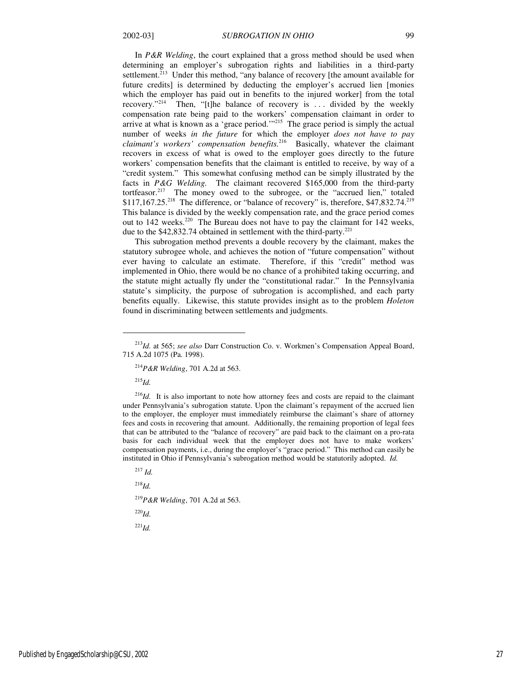In *P&R Welding*, the court explained that a gross method should be used when determining an employer's subrogation rights and liabilities in a third-party settlement.<sup>213</sup> Under this method, "any balance of recovery [the amount available for future credits] is determined by deducting the employer's accrued lien [monies which the employer has paid out in benefits to the injured worker] from the total recovery.<sup>214</sup> Then, "[t] the balance of recovery is ... divided by the weekly Then, "[t]he balance of recovery is  $\ldots$  divided by the weekly compensation rate being paid to the workers' compensation claimant in order to arrive at what is known as a 'grace period.'"<sup>215</sup> The grace period is simply the actual number of weeks *in the future* for which the employer *does not have to pay*  claimant's workers' compensation benefits.<sup>216</sup> Basically, whatever the claimant recovers in excess of what is owed to the employer goes directly to the future workers' compensation benefits that the claimant is entitled to receive, by way of a "credit system." This somewhat confusing method can be simply illustrated by the facts in *P&G Welding.* The claimant recovered \$165,000 from the third-party tortfeasor.<sup>217</sup> The money owed to the subrogee, or the "accrued lien," totaled  $$117,167.25<sup>218</sup>$  The difference, or "balance of recovery" is, therefore, \$47,832.74.<sup>219</sup> This balance is divided by the weekly compensation rate, and the grace period comes out to 142 weeks.<sup>220</sup> The Bureau does not have to pay the claimant for 142 weeks, due to the \$42,832.74 obtained in settlement with the third-party.<sup>221</sup>

This subrogation method prevents a double recovery by the claimant, makes the statutory subrogee whole, and achieves the notion of "future compensation" without ever having to calculate an estimate. Therefore, if this "credit" method was implemented in Ohio, there would be no chance of a prohibited taking occurring, and the statute might actually fly under the "constitutional radar." In the Pennsylvania statute's simplicity, the purpose of subrogation is accomplished, and each party benefits equally. Likewise, this statute provides insight as to the problem *Holeton*  found in discriminating between settlements and judgments.

<sup>215</sup>*Id.*

1

<sup>216</sup>*Id.* It is also important to note how attorney fees and costs are repaid to the claimant under Pennsylvania's subrogation statute. Upon the claimant's repayment of the accrued lien to the employer, the employer must immediately reimburse the claimant's share of attorney fees and costs in recovering that amount. Additionally, the remaining proportion of legal fees that can be attributed to the "balance of recovery" are paid back to the claimant on a pro-rata basis for each individual week that the employer does not have to make workers' compensation payments, i.e., during the employer's "grace period." This method can easily be instituted in Ohio if Pennsylvania's subrogation method would be statutorily adopted. *Id.* 

<sup>218</sup>*Id.*

<sup>219</sup>*P&R Welding*, 701 A.2d at 563.

<sup>220</sup>*Id.*

<sup>221</sup>*Id.*

<sup>213</sup>*Id.* at 565; *see also* Darr Construction Co. v. Workmen's Compensation Appeal Board, 715 A.2d 1075 (Pa. 1998).

<sup>214</sup>*P&R Welding*, 701 A.2d at 563.

<sup>217</sup> *Id.*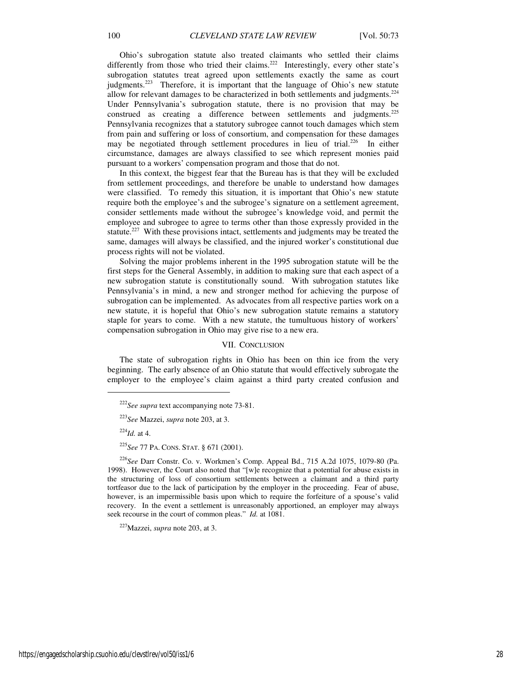Ohio's subrogation statute also treated claimants who settled their claims differently from those who tried their claims.<sup>222</sup> Interestingly, every other state's subrogation statutes treat agreed upon settlements exactly the same as court judgments.<sup>223</sup> Therefore, it is important that the language of Ohio's new statute allow for relevant damages to be characterized in both settlements and judgments. $^{224}$ Under Pennsylvania's subrogation statute, there is no provision that may be construed as creating a difference between settlements and judgments.<sup>225</sup> Pennsylvania recognizes that a statutory subrogee cannot touch damages which stem from pain and suffering or loss of consortium, and compensation for these damages may be negotiated through settlement procedures in lieu of trial.<sup>226</sup> In either circumstance, damages are always classified to see which represent monies paid pursuant to a workers' compensation program and those that do not.

In this context, the biggest fear that the Bureau has is that they will be excluded from settlement proceedings, and therefore be unable to understand how damages were classified. To remedy this situation, it is important that Ohio's new statute require both the employee's and the subrogee's signature on a settlement agreement, consider settlements made without the subrogee's knowledge void, and permit the employee and subrogee to agree to terms other than those expressly provided in the statute.<sup>227</sup> With these provisions intact, settlements and judgments may be treated the same, damages will always be classified, and the injured worker's constitutional due process rights will not be violated.

Solving the major problems inherent in the 1995 subrogation statute will be the first steps for the General Assembly, in addition to making sure that each aspect of a new subrogation statute is constitutionally sound. With subrogation statutes like Pennsylvania's in mind, a new and stronger method for achieving the purpose of subrogation can be implemented. As advocates from all respective parties work on a new statute, it is hopeful that Ohio's new subrogation statute remains a statutory staple for years to come. With a new statute, the tumultuous history of workers' compensation subrogation in Ohio may give rise to a new era.

#### VII. CONCLUSION

The state of subrogation rights in Ohio has been on thin ice from the very beginning. The early absence of an Ohio statute that would effectively subrogate the employer to the employee's claim against a third party created confusion and

 $^{224}$ *Id.* at 4.

1

<sup>225</sup>*See* 77 PA. CONS. STAT. § 671 (2001).

<sup>226</sup>*See* Darr Constr. Co. v. Workmen's Comp. Appeal Bd., 715 A.2d 1075, 1079-80 (Pa. 1998). However, the Court also noted that "[w]e recognize that a potential for abuse exists in the structuring of loss of consortium settlements between a claimant and a third party tortfeasor due to the lack of participation by the employer in the proceeding. Fear of abuse, however, is an impermissible basis upon which to require the forfeiture of a spouse's valid recovery. In the event a settlement is unreasonably apportioned, an employer may always seek recourse in the court of common pleas." *Id.* at 1081.

<sup>227</sup>Mazzei, *supra* note 203, at 3.

<sup>222</sup>*See supra* text accompanying note 73-81.

<sup>223</sup>*See* Mazzei, *supra* note 203, at 3.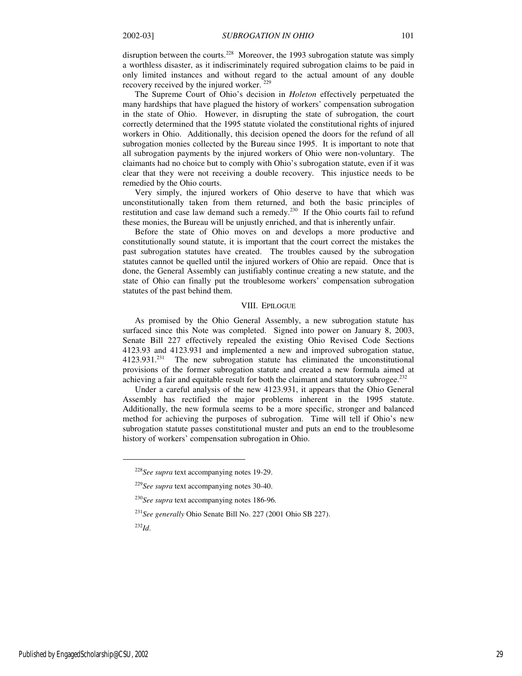disruption between the courts.<sup>228</sup> Moreover, the 1993 subrogation statute was simply a worthless disaster, as it indiscriminately required subrogation claims to be paid in only limited instances and without regard to the actual amount of any double recovery received by the injured worker.  $229$ 

The Supreme Court of Ohio's decision in *Holeton* effectively perpetuated the many hardships that have plagued the history of workers' compensation subrogation in the state of Ohio. However, in disrupting the state of subrogation, the court correctly determined that the 1995 statute violated the constitutional rights of injured workers in Ohio. Additionally, this decision opened the doors for the refund of all subrogation monies collected by the Bureau since 1995. It is important to note that all subrogation payments by the injured workers of Ohio were non-voluntary. The claimants had no choice but to comply with Ohio's subrogation statute, even if it was clear that they were not receiving a double recovery. This injustice needs to be remedied by the Ohio courts.

Very simply, the injured workers of Ohio deserve to have that which was unconstitutionally taken from them returned, and both the basic principles of restitution and case law demand such a remedy.<sup>230</sup> If the Ohio courts fail to refund these monies, the Bureau will be unjustly enriched, and that is inherently unfair.

Before the state of Ohio moves on and develops a more productive and constitutionally sound statute, it is important that the court correct the mistakes the past subrogation statutes have created. The troubles caused by the subrogation statutes cannot be quelled until the injured workers of Ohio are repaid. Once that is done, the General Assembly can justifiably continue creating a new statute, and the state of Ohio can finally put the troublesome workers' compensation subrogation statutes of the past behind them.

#### VIII. EPILOGUE

As promised by the Ohio General Assembly, a new subrogation statute has surfaced since this Note was completed. Signed into power on January 8, 2003, Senate Bill 227 effectively repealed the existing Ohio Revised Code Sections 4123.93 and 4123.931 and implemented a new and improved subrogation statue, 4123.931.<sup>231</sup> The new subrogation statute has eliminated the unconstitutional provisions of the former subrogation statute and created a new formula aimed at achieving a fair and equitable result for both the claimant and statutory subrogee.<sup>232</sup>

Under a careful analysis of the new 4123.931, it appears that the Ohio General Assembly has rectified the major problems inherent in the 1995 statute. Additionally, the new formula seems to be a more specific, stronger and balanced method for achieving the purposes of subrogation. Time will tell if Ohio's new subrogation statute passes constitutional muster and puts an end to the troublesome history of workers' compensation subrogation in Ohio.

 $\overline{a}$ 

<sup>228</sup>*See supra* text accompanying notes 19-29.

<sup>229</sup>*See supra* text accompanying notes 30-40.

<sup>230</sup>*See supra* text accompanying notes 186-96.

<sup>231</sup>*See generally* Ohio Senate Bill No. 227 (2001 Ohio SB 227).

<sup>232</sup>*Id*.